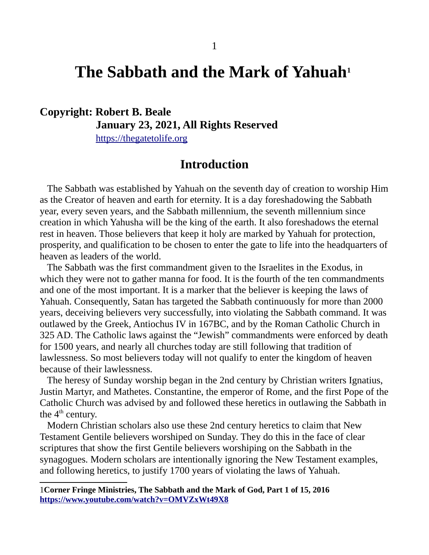# **The Sabbath and the Mark of Yahuah[1](#page-0-0)**

# **Copyright: Robert B. Beale January 23, 2021, All Rights Reserved**

[https://thegatetolife .org](https://thegatetolife.org/)

# **Introduction**

The Sabbath was established by Yahuah on the seventh day of creation to worship Him as the Creator of heaven and earth for eternity. It is a day foreshadowing the Sabbath year, every seven years, and the Sabbath millennium, the seventh millennium since creation in which Yahusha will be the king of the earth. It also foreshadows the eternal rest in heaven. Those believers that keep it holy are marked by Yahuah for protection, prosperity, and qualification to be chosen to enter the gate to life into the headquarters of heaven as leaders of the world.

 The Sabbath was the first commandment given to the Israelites in the Exodus, in which they were not to gather manna for food. It is the fourth of the ten commandments and one of the most important. It is a marker that the believer is keeping the laws of Yahuah. Consequently, Satan has targeted the Sabbath continuously for more than 2000 years, deceiving believers very successfully, into violating the Sabbath command. It was outlawed by the Greek, Antiochus IV in 167BC, and by the Roman Catholic Church in 325 AD. The Catholic laws against the "Jewish" commandments were enforced by death for 1500 years, and nearly all churches today are still following that tradition of lawlessness. So most believers today will not qualify to enter the kingdom of heaven because of their lawlessness.

 The heresy of Sunday worship began in the 2nd century by Christian writers Ignatius, Justin Martyr, and Mathetes. Constantine, the emperor of Rome, and the first Pope of the Catholic Church was advised by and followed these heretics in outlawing the Sabbath in the  $4<sup>th</sup>$  century.

 Modern Christian scholars also use these 2nd century heretics to claim that New Testament Gentile believers worshiped on Sunday. They do this in the face of clear scriptures that show the first Gentile believers worshiping on the Sabbath in the synagogues. Modern scholars are intentionally ignoring the New Testament examples, and following heretics, to justify 1700 years of violating the laws of Yahuah.

<span id="page-0-0"></span><sup>1</sup>**Corner Fringe Ministries, The Sabbath and the Mark of God, Part 1 of 15, 2016 <https://www.youtube.com/watch?v=OMVZxWt49X8>**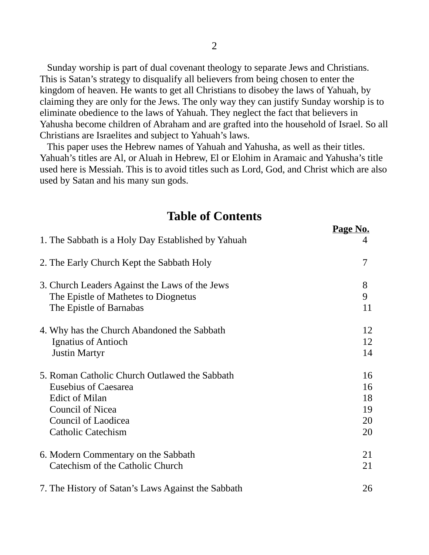Sunday worship is part of dual covenant theology to separate Jews and Christians. This is Satan's strategy to disqualify all believers from being chosen to enter the kingdom of heaven. He wants to get all Christians to disobey the laws of Yahuah, by claiming they are only for the Jews. The only way they can justify Sunday worship is to eliminate obedience to the laws of Yahuah. They neglect the fact that believers in Yahusha become children of Abraham and are grafted into the household of Israel. So all Christians are Israelites and subject to Yahuah's laws.

 This paper uses the Hebrew names of Yahuah and Yahusha, as well as their titles. Yahuah's titles are Al, or Aluah in Hebrew, El or Elohim in Aramaic and Yahusha's title used here is Messiah. This is to avoid titles such as Lord, God, and Christ which are also used by Satan and his many sun gods.

# **Page No.** 1. The Sabbath is a Holy Day Established by Yahuah 4 2. The Early Church Kept the Sabbath Holy 7 3. Church Leaders Against the Laws of the Jews 8 The Epistle of Mathetes to Diognetus 9 The Epistle of Barnabas 11 4. Why has the Church Abandoned the Sabbath 12 Ignatius of Antioch 12 Justin Martyr 14 5. Roman Catholic Church Outlawed the Sabbath 16 Eusebius of Caesarea **16** Edict of Milan 18 Council of Nicea 19 Council of Laodicea 20 Catholic Catechism 20 6. Modern Commentary on the Sabbath 21 Catechism of the Catholic Church 21 7. The History of Satan's Laws Against the Sabbath 26

# **Table of Contents**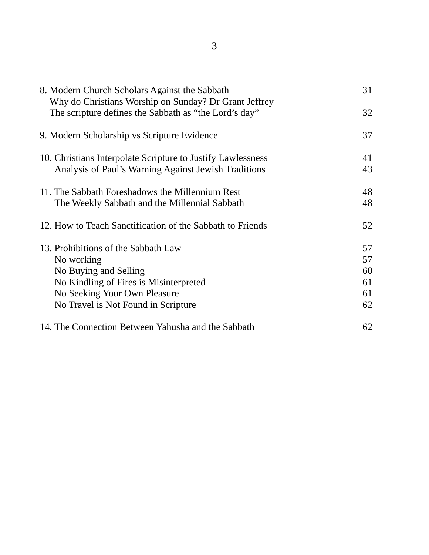| 8. Modern Church Scholars Against the Sabbath<br>Why do Christians Worship on Sunday? Dr Grant Jeffrey              | 31 |
|---------------------------------------------------------------------------------------------------------------------|----|
| The scripture defines the Sabbath as "the Lord's day"                                                               | 32 |
| 9. Modern Scholarship vs Scripture Evidence                                                                         | 37 |
| 10. Christians Interpolate Scripture to Justify Lawlessness<br>Analysis of Paul's Warning Against Jewish Traditions | 41 |
|                                                                                                                     | 43 |
| 11. The Sabbath Foreshadows the Millennium Rest<br>The Weekly Sabbath and the Millennial Sabbath                    | 48 |
|                                                                                                                     | 48 |
| 12. How to Teach Sanctification of the Sabbath to Friends                                                           | 52 |
| 13. Prohibitions of the Sabbath Law                                                                                 | 57 |
| No working                                                                                                          | 57 |
| No Buying and Selling                                                                                               | 60 |
| No Kindling of Fires is Misinterpreted                                                                              | 61 |
| No Seeking Your Own Pleasure                                                                                        | 61 |
| No Travel is Not Found in Scripture                                                                                 | 62 |
| 14. The Connection Between Yahusha and the Sabbath                                                                  | 62 |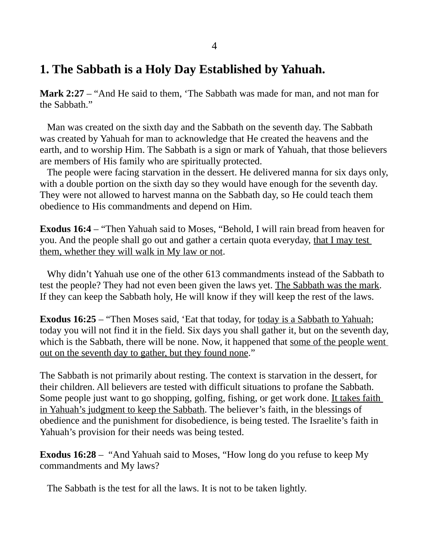# **1. The Sabbath is a Holy Day Established by Yahuah.**

**Mark 2:27** – "And He said to them, 'The Sabbath was made for man, and not man for the Sabbath."

 Man was created on the sixth day and the Sabbath on the seventh day. The Sabbath was created by Yahuah for man to acknowledge that He created the heavens and the earth, and to worship Him. The Sabbath is a sign or mark of Yahuah, that those believers are members of His family who are spiritually protected.

 The people were facing starvation in the dessert. He delivered manna for six days only, with a double portion on the sixth day so they would have enough for the seventh day. They were not allowed to harvest manna on the Sabbath day, so He could teach them obedience to His commandments and depend on Him.

**Exodus 16:4** – "Then Yahuah said to Moses, "Behold, I will rain bread from heaven for you. And the people shall go out and gather a certain quota everyday, that I may test them, whether they will walk in My law or not.

 Why didn't Yahuah use one of the other 613 commandments instead of the Sabbath to test the people? They had not even been given the laws yet. The Sabbath was the mark. If they can keep the Sabbath holy, He will know if they will keep the rest of the laws.

**Exodus 16:25** – "Then Moses said, 'Eat that today, for today is a Sabbath to Yahuah; today you will not find it in the field. Six days you shall gather it, but on the seventh day, which is the Sabbath, there will be none. Now, it happened that some of the people went out on the seventh day to gather, but they found none."

The Sabbath is not primarily about resting. The context is starvation in the dessert, for their children. All believers are tested with difficult situations to profane the Sabbath. Some people just want to go shopping, golfing, fishing, or get work done. It takes faith in Yahuah's judgment to keep the Sabbath. The believer's faith, in the blessings of obedience and the punishment for disobedience, is being tested. The Israelite's faith in Yahuah's provision for their needs was being tested.

**Exodus 16:28** – "And Yahuah said to Moses, "How long do you refuse to keep My commandments and My laws?

The Sabbath is the test for all the laws. It is not to be taken lightly.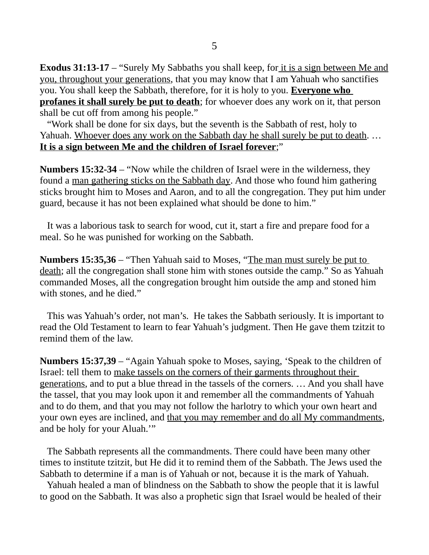**Exodus 31:13-17** – "Surely My Sabbaths you shall keep, for it is a sign between Me and you, throughout your generations, that you may know that I am Yahuah who sanctifies you. You shall keep the Sabbath, therefore, for it is holy to you. **Everyone who profanes it shall surely be put to death**; for whoever does any work on it, that person shall be cut off from among his people."

 "Work shall be done for six days, but the seventh is the Sabbath of rest, holy to Yahuah. Whoever does any work on the Sabbath day he shall surely be put to death. … **It is a sign between Me and the children of Israel forever**;"

**Numbers 15:32-34** – "Now while the children of Israel were in the wilderness, they found a man gathering sticks on the Sabbath day. And those who found him gathering sticks brought him to Moses and Aaron, and to all the congregation. They put him under guard, because it has not been explained what should be done to him."

 It was a laborious task to search for wood, cut it, start a fire and prepare food for a meal. So he was punished for working on the Sabbath.

**Numbers 15:35,36** – "Then Yahuah said to Moses, "The man must surely be put to death; all the congregation shall stone him with stones outside the camp." So as Yahuah commanded Moses, all the congregation brought him outside the amp and stoned him with stones, and he died."

 This was Yahuah's order, not man's. He takes the Sabbath seriously. It is important to read the Old Testament to learn to fear Yahuah's judgment. Then He gave them tzitzit to remind them of the law.

**Numbers 15:37,39** – "Again Yahuah spoke to Moses, saying, 'Speak to the children of Israel: tell them to make tassels on the corners of their garments throughout their generations, and to put a blue thread in the tassels of the corners. … And you shall have the tassel, that you may look upon it and remember all the commandments of Yahuah and to do them, and that you may not follow the harlotry to which your own heart and your own eyes are inclined, and that you may remember and do all My commandments, and be holy for your Aluah.'"

 The Sabbath represents all the commandments. There could have been many other times to institute tzitzit, but He did it to remind them of the Sabbath. The Jews used the Sabbath to determine if a man is of Yahuah or not, because it is the mark of Yahuah.

 Yahuah healed a man of blindness on the Sabbath to show the people that it is lawful to good on the Sabbath. It was also a prophetic sign that Israel would be healed of their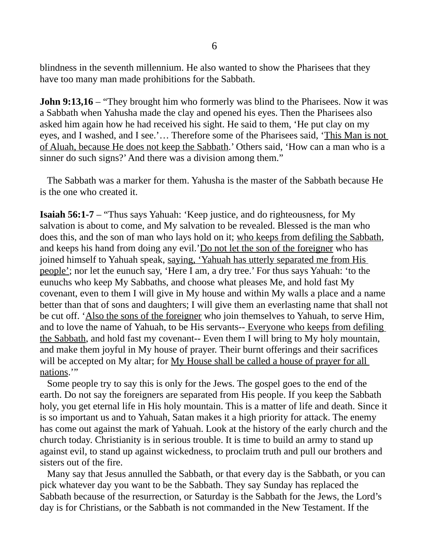blindness in the seventh millennium. He also wanted to show the Pharisees that they have too many man made prohibitions for the Sabbath.

**John 9:13,16** – "They brought him who formerly was blind to the Pharisees. Now it was a Sabbath when Yahusha made the clay and opened his eyes. Then the Pharisees also asked him again how he had received his sight. He said to them, 'He put clay on my eyes, and I washed, and I see.'… Therefore some of the Pharisees said, 'This Man is not of Aluah, because He does not keep the Sabbath.' Others said, 'How can a man who is a sinner do such signs?' And there was a division among them."

 The Sabbath was a marker for them. Yahusha is the master of the Sabbath because He is the one who created it.

**Isaiah 56:1-7** – "Thus says Yahuah: 'Keep justice, and do righteousness, for My salvation is about to come, and My salvation to be revealed. Blessed is the man who does this, and the son of man who lays hold on it; who keeps from defiling the Sabbath, and keeps his hand from doing any evil.'Do not let the son of the foreigner who has joined himself to Yahuah speak, saying, 'Yahuah has utterly separated me from His people'; nor let the eunuch say, 'Here I am, a dry tree.' For thus says Yahuah: 'to the eunuchs who keep My Sabbaths, and choose what pleases Me, and hold fast My covenant, even to them I will give in My house and within My walls a place and a name better than that of sons and daughters; I will give them an everlasting name that shall not be cut off. 'Also the sons of the foreigner who join themselves to Yahuah, to serve Him, and to love the name of Yahuah, to be His servants-- Everyone who keeps from defiling the Sabbath, and hold fast my covenant-- Even them I will bring to My holy mountain, and make them joyful in My house of prayer. Their burnt offerings and their sacrifices will be accepted on My altar; for <u>My House shall be called a house of prayer for all</u> nations."

 Some people try to say this is only for the Jews. The gospel goes to the end of the earth. Do not say the foreigners are separated from His people. If you keep the Sabbath holy, you get eternal life in His holy mountain. This is a matter of life and death. Since it is so important us and to Yahuah, Satan makes it a high priority for attack. The enemy has come out against the mark of Yahuah. Look at the history of the early church and the church today. Christianity is in serious trouble. It is time to build an army to stand up against evil, to stand up against wickedness, to proclaim truth and pull our brothers and sisters out of the fire.

 Many say that Jesus annulled the Sabbath, or that every day is the Sabbath, or you can pick whatever day you want to be the Sabbath. They say Sunday has replaced the Sabbath because of the resurrection, or Saturday is the Sabbath for the Jews, the Lord's day is for Christians, or the Sabbath is not commanded in the New Testament. If the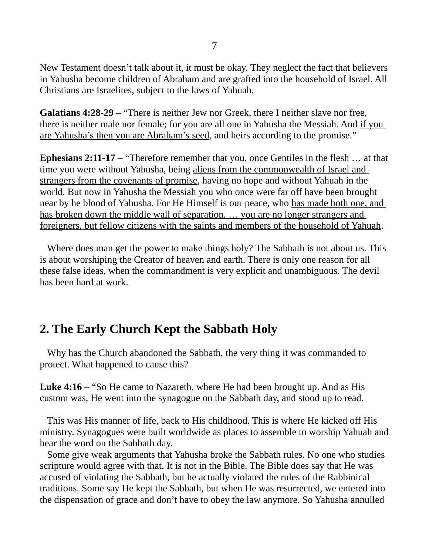New Testament doesn't talk about it, it must be okay. They neglect the fact that believers in Yahusha become children of Abraham and are grafted into the household of Israel. All Christians are Israelites, subject to the laws of Yahuah.

**Galatians 4:28-29** – "There is neither Jew nor Greek, there I neither slave nor free, there is neither male nor female; for you are all one in Yahusha the Messiah. And if you are Yahusha's then you are Abraham's seed, and heirs according to the promise."

**Ephesians 2:11-17** – "Therefore remember that you, once Gentiles in the flesh … at that time you were without Yahusha, being aliens from the commonwealth of Israel and strangers from the covenants of promise, having no hope and without Yahuah in the world. But now in Yahusha the Messiah you who once were far off have been brought near by he blood of Yahusha. For He Himself is our peace, who has made both one, and has broken down the middle wall of separation, ... you are no longer strangers and foreigners, but fellow citizens with the saints and members of the household of Yahuah.

 Where does man get the power to make things holy? The Sabbath is not about us. This is about worshiping the Creator of heaven and earth. There is only one reason for all these false ideas, when the commandment is very explicit and unambiguous. The devil has been hard at work.

# **2. The Early Church Kept the Sabbath Holy**

 Why has the Church abandoned the Sabbath, the very thing it was commanded to protect. What happened to cause this?

**Luke 4:16** – "So He came to Nazareth, where He had been brought up. And as His custom was, He went into the synagogue on the Sabbath day, and stood up to read.

 This was His manner of life, back to His childhood. This is where He kicked off His ministry. Synagogues were built worldwide as places to assemble to worship Yahuah and hear the word on the Sabbath day.

 Some give weak arguments that Yahusha broke the Sabbath rules. No one who studies scripture would agree with that. It is not in the Bible. The Bible does say that He was accused of violating the Sabbath, but he actually violated the rules of the Rabbinical traditions. Some say He kept the Sabbath, but when He was resurrected, we entered into the dispensation of grace and don't have to obey the law anymore. So Yahusha annulled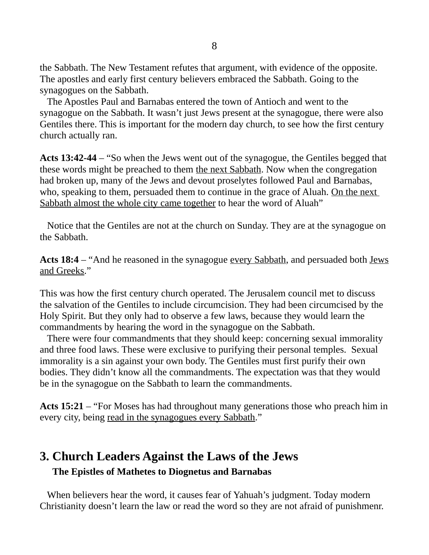the Sabbath. The New Testament refutes that argument, with evidence of the opposite. The apostles and early first century believers embraced the Sabbath. Going to the synagogues on the Sabbath.

 The Apostles Paul and Barnabas entered the town of Antioch and went to the synagogue on the Sabbath. It wasn't just Jews present at the synagogue, there were also Gentiles there. This is important for the modern day church, to see how the first century church actually ran.

**Acts 13:42-44** – "So when the Jews went out of the synagogue, the Gentiles begged that these words might be preached to them the next Sabbath. Now when the congregation had broken up, many of the Jews and devout proselytes followed Paul and Barnabas, who, speaking to them, persuaded them to continue in the grace of Aluah. On the next Sabbath almost the whole city came together to hear the word of Aluah"

 Notice that the Gentiles are not at the church on Sunday. They are at the synagogue on the Sabbath.

Acts 18:4 – "And he reasoned in the synagogue every Sabbath, and persuaded both Jews and Greeks."

This was how the first century church operated. The Jerusalem council met to discuss the salvation of the Gentiles to include circumcision. They had been circumcised by the Holy Spirit. But they only had to observe a few laws, because they would learn the commandments by hearing the word in the synagogue on the Sabbath.

 There were four commandments that they should keep: concerning sexual immorality and three food laws. These were exclusive to purifying their personal temples. Sexual immorality is a sin against your own body. The Gentiles must first purify their own bodies. They didn't know all the commandments. The expectation was that they would be in the synagogue on the Sabbath to learn the commandments.

**Acts 15:21** – "For Moses has had throughout many generations those who preach him in every city, being read in the synagogues every Sabbath."

# **3. Church Leaders Against the Laws of the Jews The Epistles of Mathetes to Diognetus and Barnabas**

 When believers hear the word, it causes fear of Yahuah's judgment. Today modern Christianity doesn't learn the law or read the word so they are not afraid of punishmenr.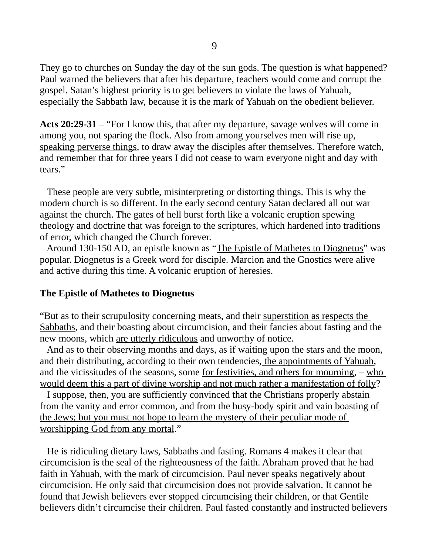They go to churches on Sunday the day of the sun gods. The question is what happened? Paul warned the believers that after his departure, teachers would come and corrupt the gospel. Satan's highest priority is to get believers to violate the laws of Yahuah, especially the Sabbath law, because it is the mark of Yahuah on the obedient believer.

**Acts 20:29-31** – "For I know this, that after my departure, savage wolves will come in among you, not sparing the flock. Also from among yourselves men will rise up, speaking perverse things, to draw away the disciples after themselves. Therefore watch, and remember that for three years I did not cease to warn everyone night and day with tears."

 These people are very subtle, misinterpreting or distorting things. This is why the modern church is so different. In the early second century Satan declared all out war against the church. The gates of hell burst forth like a volcanic eruption spewing theology and doctrine that was foreign to the scriptures, which hardened into traditions of error, which changed the Church forever.

 Around 130-150 AD, an epistle known as "The Epistle of Mathetes to Diognetus" was popular. Diognetus is a Greek word for disciple. Marcion and the Gnostics were alive and active during this time. A volcanic eruption of heresies.

#### **The Epistle of Mathetes to Diognetus**

"But as to their scrupulosity concerning meats, and their superstition as respects the Sabbaths, and their boasting about circumcision, and their fancies about fasting and the new moons, which are utterly ridiculous and unworthy of notice.

 And as to their observing months and days, as if waiting upon the stars and the moon, and their distributing, according to their own tendencies, the appointments of Yahuah, and the vicissitudes of the seasons, some for festivities, and others for mourning, – who would deem this a part of divine worship and not much rather a manifestation of folly?

 I suppose, then, you are sufficiently convinced that the Christians properly abstain from the vanity and error common, and from the busy-body spirit and vain boasting of the Jews; but you must not hope to learn the mystery of their peculiar mode of worshipping God from any mortal."

 He is ridiculing dietary laws, Sabbaths and fasting. Romans 4 makes it clear that circumcision is the seal of the righteousness of the faith. Abraham proved that he had faith in Yahuah, with the mark of circumcision. Paul never speaks negatively about circumcision. He only said that circumcision does not provide salvation. It cannot be found that Jewish believers ever stopped circumcising their children, or that Gentile believers didn't circumcise their children. Paul fasted constantly and instructed believers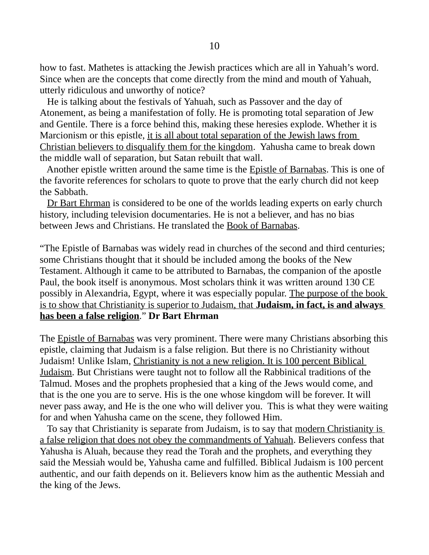how to fast. Mathetes is attacking the Jewish practices which are all in Yahuah's word. Since when are the concepts that come directly from the mind and mouth of Yahuah, utterly ridiculous and unworthy of notice?

 He is talking about the festivals of Yahuah, such as Passover and the day of Atonement, as being a manifestation of folly. He is promoting total separation of Jew and Gentile. There is a force behind this, making these heresies explode. Whether it is Marcionism or this epistle, it is all about total separation of the Jewish laws from Christian believers to disqualify them for the kingdom. Yahusha came to break down the middle wall of separation, but Satan rebuilt that wall.

 Another epistle written around the same time is the Epistle of Barnabas. This is one of the favorite references for scholars to quote to prove that the early church did not keep the Sabbath.

Dr Bart Ehrman is considered to be one of the worlds leading experts on early church history, including television documentaries. He is not a believer, and has no bias between Jews and Christians. He translated the Book of Barnabas.

"The Epistle of Barnabas was widely read in churches of the second and third centuries; some Christians thought that it should be included among the books of the New Testament. Although it came to be attributed to Barnabas, the companion of the apostle Paul, the book itself is anonymous. Most scholars think it was written around 130 CE possibly in Alexandria, Egypt, where it was especially popular. The purpose of the book is to show that Christianity is superior to Judaism, that **Judaism, in fact, is and always has been a false religion**." **Dr Bart Ehrman**

The **Epistle of Barnabas** was very prominent. There were many Christians absorbing this epistle, claiming that Judaism is a false religion. But there is no Christianity without Judaism! Unlike Islam, Christianity is not a new religion. It is 100 percent Biblical Judaism. But Christians were taught not to follow all the Rabbinical traditions of the Talmud. Moses and the prophets prophesied that a king of the Jews would come, and that is the one you are to serve. His is the one whose kingdom will be forever. It will never pass away, and He is the one who will deliver you. This is what they were waiting for and when Yahusha came on the scene, they followed Him.

 To say that Christianity is separate from Judaism, is to say that modern Christianity is a false religion that does not obey the commandments of Yahuah. Believers confess that Yahusha is Aluah, because they read the Torah and the prophets, and everything they said the Messiah would be, Yahusha came and fulfilled. Biblical Judaism is 100 percent authentic, and our faith depends on it. Believers know him as the authentic Messiah and the king of the Jews.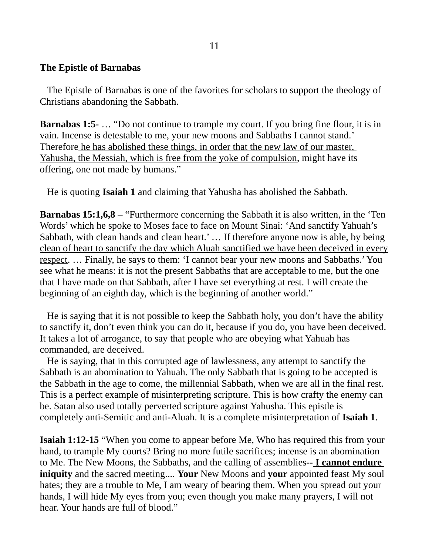### **The Epistle of Barnabas**

 The Epistle of Barnabas is one of the favorites for scholars to support the theology of Christians abandoning the Sabbath.

**Barnabas 1:5-** ... "Do not continue to trample my court. If you bring fine flour, it is in vain. Incense is detestable to me, your new moons and Sabbaths I cannot stand.' Therefore he has abolished these things, in order that the new law of our master, Yahusha, the Messiah, which is free from the yoke of compulsion, might have its offering, one not made by humans."

He is quoting **Isaiah 1** and claiming that Yahusha has abolished the Sabbath.

**Barnabas 15:1,6,8** – "Furthermore concerning the Sabbath it is also written, in the 'Ten Words' which he spoke to Moses face to face on Mount Sinai: 'And sanctify Yahuah's Sabbath, with clean hands and clean heart.' ... If therefore anyone now is able, by being clean of heart to sanctify the day which Aluah sanctified we have been deceived in every respect. … Finally, he says to them: 'I cannot bear your new moons and Sabbaths.' You see what he means: it is not the present Sabbaths that are acceptable to me, but the one that I have made on that Sabbath, after I have set everything at rest. I will create the beginning of an eighth day, which is the beginning of another world."

 He is saying that it is not possible to keep the Sabbath holy, you don't have the ability to sanctify it, don't even think you can do it, because if you do, you have been deceived. It takes a lot of arrogance, to say that people who are obeying what Yahuah has commanded, are deceived.

 He is saying, that in this corrupted age of lawlessness, any attempt to sanctify the Sabbath is an abomination to Yahuah. The only Sabbath that is going to be accepted is the Sabbath in the age to come, the millennial Sabbath, when we are all in the final rest. This is a perfect example of misinterpreting scripture. This is how crafty the enemy can be. Satan also used totally perverted scripture against Yahusha. This epistle is completely anti-Semitic and anti-Aluah. It is a complete misinterpretation of **Isaiah 1**.

**Isaiah 1:12-15** "When you come to appear before Me, Who has required this from your hand, to trample My courts? Bring no more futile sacrifices; incense is an abomination to Me. The New Moons, the Sabbaths, and the calling of assemblies-- **I cannot endure iniquity** and the sacred meeting.... **Your** New Moons and **your** appointed feast My soul hates; they are a trouble to Me, I am weary of bearing them. When you spread out your hands, I will hide My eyes from you; even though you make many prayers, I will not hear. Your hands are full of blood."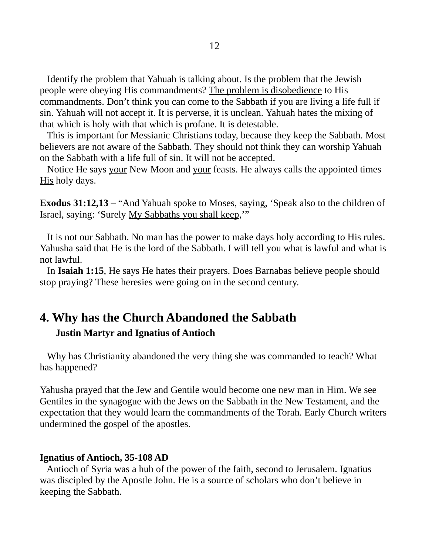Identify the problem that Yahuah is talking about. Is the problem that the Jewish people were obeying His commandments? The problem is disobedience to His commandments. Don't think you can come to the Sabbath if you are living a life full if sin. Yahuah will not accept it. It is perverse, it is unclean. Yahuah hates the mixing of that which is holy with that which is profane. It is detestable.

 This is important for Messianic Christians today, because they keep the Sabbath. Most believers are not aware of the Sabbath. They should not think they can worship Yahuah on the Sabbath with a life full of sin. It will not be accepted.

Notice He says your New Moon and your feasts. He always calls the appointed times His holy days.

**Exodus 31:12,13** – "And Yahuah spoke to Moses, saying, 'Speak also to the children of Israel, saying: 'Surely My Sabbaths you shall keep,'"

 It is not our Sabbath. No man has the power to make days holy according to His rules. Yahusha said that He is the lord of the Sabbath. I will tell you what is lawful and what is not lawful.

 In **Isaiah 1:15**, He says He hates their prayers. Does Barnabas believe people should stop praying? These heresies were going on in the second century.

# **4. Why has the Church Abandoned the Sabbath**

### **Justin Martyr and Ignatius of Antioch**

 Why has Christianity abandoned the very thing she was commanded to teach? What has happened?

Yahusha prayed that the Jew and Gentile would become one new man in Him. We see Gentiles in the synagogue with the Jews on the Sabbath in the New Testament, and the expectation that they would learn the commandments of the Torah. Early Church writers undermined the gospel of the apostles.

### **Ignatius of Antioch, 35-108 AD**

 Antioch of Syria was a hub of the power of the faith, second to Jerusalem. Ignatius was discipled by the Apostle John. He is a source of scholars who don't believe in keeping the Sabbath.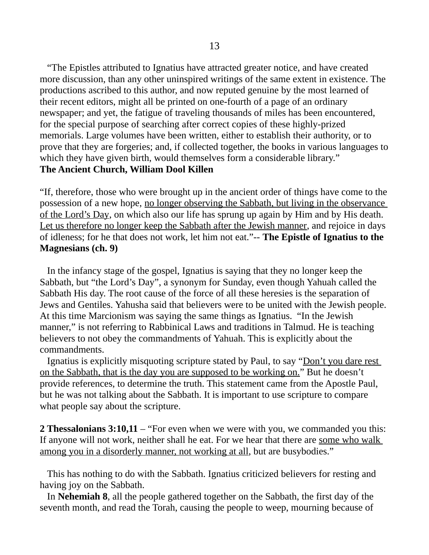"The Epistles attributed to Ignatius have attracted greater notice, and have created more discussion, than any other uninspired writings of the same extent in existence. The productions ascribed to this author, and now reputed genuine by the most learned of their recent editors, might all be printed on one-fourth of a page of an ordinary newspaper; and yet, the fatigue of traveling thousands of miles has been encountered, for the special purpose of searching after correct copies of these highly-prized memorials. Large volumes have been written, either to establish their authority, or to prove that they are forgeries; and, if collected together, the books in various languages to which they have given birth, would themselves form a considerable library." **The Ancient Church, William Dool Killen**

"If, therefore, those who were brought up in the ancient order of things have come to the possession of a new hope, no longer observing the Sabbath, but living in the observance of the Lord's Day, on which also our life has sprung up again by Him and by His death. Let us therefore no longer keep the Sabbath after the Jewish manner, and rejoice in days of idleness; for he that does not work, let him not eat."-- **The Epistle of Ignatius to the Magnesians (ch. 9)**

In the infancy stage of the gospel, Ignatius is saying that they no longer keep the Sabbath, but "the Lord's Day", a synonym for Sunday, even though Yahuah called the Sabbath His day. The root cause of the force of all these heresies is the separation of Jews and Gentiles. Yahusha said that believers were to be united with the Jewish people. At this time Marcionism was saying the same things as Ignatius. "In the Jewish manner," is not referring to Rabbinical Laws and traditions in Talmud. He is teaching believers to not obey the commandments of Yahuah. This is explicitly about the commandments.

Ignatius is explicitly misquoting scripture stated by Paul, to say "Don't you dare rest on the Sabbath, that is the day you are supposed to be working on." But he doesn't provide references, to determine the truth. This statement came from the Apostle Paul, but he was not talking about the Sabbath. It is important to use scripture to compare what people say about the scripture.

**2 Thessalonians 3:10,11** – "For even when we were with you, we commanded you this: If anyone will not work, neither shall he eat. For we hear that there are some who walk among you in a disorderly manner, not working at all, but are busybodies."

 This has nothing to do with the Sabbath. Ignatius criticized believers for resting and having joy on the Sabbath.

 In **Nehemiah 8**, all the people gathered together on the Sabbath, the first day of the seventh month, and read the Torah, causing the people to weep, mourning because of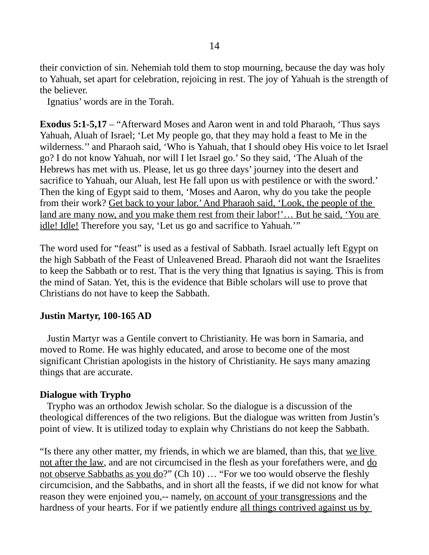their conviction of sin. Nehemiah told them to stop mourning, because the day was holy to Yahuah, set apart for celebration, rejoicing in rest. The joy of Yahuah is the strength of the believer.

Ignatius' words are in the Torah.

**Exodus 5:1-5,17** – "Afterward Moses and Aaron went in and told Pharaoh, 'Thus says Yahuah, Aluah of Israel; 'Let My people go, that they may hold a feast to Me in the wilderness.'' and Pharaoh said, 'Who is Yahuah, that I should obey His voice to let Israel go? I do not know Yahuah, nor will I let Israel go.' So they said, 'The Aluah of the Hebrews has met with us. Please, let us go three days' journey into the desert and sacrifice to Yahuah, our Aluah, lest He fall upon us with pestilence or with the sword.' Then the king of Egypt said to them, 'Moses and Aaron, why do you take the people from their work? Get back to your labor.' And Pharaoh said, 'Look, the people of the land are many now, and you make them rest from their labor!'... But he said, 'You are idle! Idle! Therefore you say, 'Let us go and sacrifice to Yahuah.'"

The word used for "feast" is used as a festival of Sabbath. Israel actually left Egypt on the high Sabbath of the Feast of Unleavened Bread. Pharaoh did not want the Israelites to keep the Sabbath or to rest. That is the very thing that Ignatius is saying. This is from the mind of Satan. Yet, this is the evidence that Bible scholars will use to prove that Christians do not have to keep the Sabbath.

### **Justin Martyr, 100-165 AD**

 Justin Martyr was a Gentile convert to Christianity. He was born in Samaria, and moved to Rome. He was highly educated, and arose to become one of the most significant Christian apologists in the history of Christianity. He says many amazing things that are accurate.

### **Dialogue with Trypho**

 Trypho was an orthodox Jewish scholar. So the dialogue is a discussion of the theological differences of the two religions. But the dialogue was written from Justin's point of view. It is utilized today to explain why Christians do not keep the Sabbath.

"Is there any other matter, my friends, in which we are blamed, than this, that we live not after the law, and are not circumcised in the flesh as your forefathers were, and do not observe Sabbaths as you do?" (Ch 10) … "For we too would observe the fleshly circumcision, and the Sabbaths, and in short all the feasts, if we did not know for what reason they were enjoined you,-- namely, on account of your transgressions and the hardness of your hearts. For if we patiently endure all things contrived against us by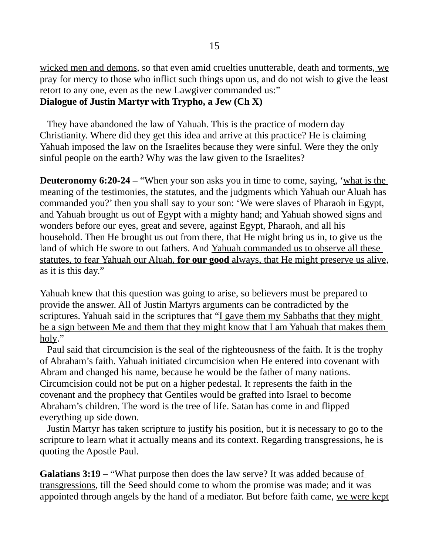wicked men and demons, so that even amid cruelties unutterable, death and torments, we pray for mercy to those who inflict such things upon us, and do not wish to give the least retort to any one, even as the new Lawgiver commanded us:" **Dialogue of Justin Martyr with Trypho, a Jew (Ch X)**

 They have abandoned the law of Yahuah. This is the practice of modern day Christianity. Where did they get this idea and arrive at this practice? He is claiming Yahuah imposed the law on the Israelites because they were sinful. Were they the only sinful people on the earth? Why was the law given to the Israelites?

**Deuteronomy 6:20-24** – "When your son asks you in time to come, saying, 'what is the meaning of the testimonies, the statutes, and the judgments which Yahuah our Aluah has commanded you?' then you shall say to your son: 'We were slaves of Pharaoh in Egypt, and Yahuah brought us out of Egypt with a mighty hand; and Yahuah showed signs and wonders before our eyes, great and severe, against Egypt, Pharaoh, and all his household. Then He brought us out from there, that He might bring us in, to give us the land of which He swore to out fathers. And Yahuah commanded us to observe all these statutes, to fear Yahuah our Aluah, **for our good** always, that He might preserve us alive, as it is this day."

Yahuah knew that this question was going to arise, so believers must be prepared to provide the answer. All of Justin Martyrs arguments can be contradicted by the scriptures. Yahuah said in the scriptures that "I gave them my Sabbaths that they might be a sign between Me and them that they might know that I am Yahuah that makes them holy."

 Paul said that circumcision is the seal of the righteousness of the faith. It is the trophy of Abraham's faith. Yahuah initiated circumcision when He entered into covenant with Abram and changed his name, because he would be the father of many nations. Circumcision could not be put on a higher pedestal. It represents the faith in the covenant and the prophecy that Gentiles would be grafted into Israel to become Abraham's children. The word is the tree of life. Satan has come in and flipped everything up side down.

 Justin Martyr has taken scripture to justify his position, but it is necessary to go to the scripture to learn what it actually means and its context. Regarding transgressions, he is quoting the Apostle Paul.

**Galatians 3:19** – "What purpose then does the law serve? It was added because of transgressions, till the Seed should come to whom the promise was made; and it was appointed through angels by the hand of a mediator. But before faith came, we were kept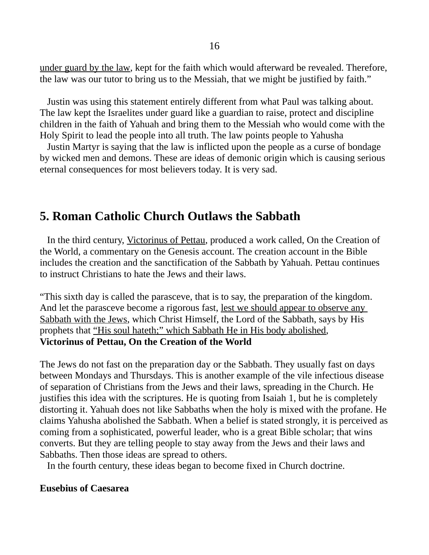under guard by the law, kept for the faith which would afterward be revealed. Therefore, the law was our tutor to bring us to the Messiah, that we might be justified by faith."

 Justin was using this statement entirely different from what Paul was talking about. The law kept the Israelites under guard like a guardian to raise, protect and discipline children in the faith of Yahuah and bring them to the Messiah who would come with the Holy Spirit to lead the people into all truth. The law points people to Yahusha

 Justin Martyr is saying that the law is inflicted upon the people as a curse of bondage by wicked men and demons. These are ideas of demonic origin which is causing serious eternal consequences for most believers today. It is very sad.

# **5. Roman Catholic Church Outlaws the Sabbath**

 In the third century, Victorinus of Pettau, produced a work called, On the Creation of the World, a commentary on the Genesis account. The creation account in the Bible includes the creation and the sanctification of the Sabbath by Yahuah. Pettau continues to instruct Christians to hate the Jews and their laws.

"This sixth day is called the parasceve, that is to say, the preparation of the kingdom. And let the parasceve become a rigorous fast, <u>lest we should appear to observe any</u> Sabbath with the Jews, which Christ Himself, the Lord of the Sabbath, says by His prophets that "His soul hateth;" which Sabbath He in His body abolished, **Victorinus of Pettau, On the Creation of the World**

The Jews do not fast on the preparation day or the Sabbath. They usually fast on days between Mondays and Thursdays. This is another example of the vile infectious disease of separation of Christians from the Jews and their laws, spreading in the Church. He justifies this idea with the scriptures. He is quoting from Isaiah 1, but he is completely distorting it. Yahuah does not like Sabbaths when the holy is mixed with the profane. He claims Yahusha abolished the Sabbath. When a belief is stated strongly, it is perceived as coming from a sophisticated, powerful leader, who is a great Bible scholar; that wins converts. But they are telling people to stay away from the Jews and their laws and Sabbaths. Then those ideas are spread to others.

In the fourth century, these ideas began to become fixed in Church doctrine.

#### **Eusebius of Caesarea**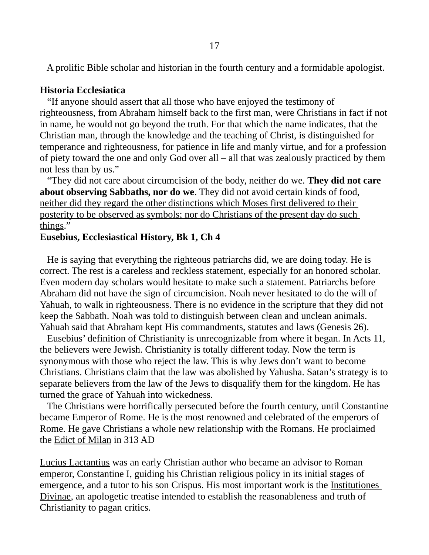A prolific Bible scholar and historian in the fourth century and a formidable apologist.

#### **Historia Ecclesiatica**

 "If anyone should assert that all those who have enjoyed the testimony of righteousness, from Abraham himself back to the first man, were Christians in fact if not in name, he would not go beyond the truth. For that which the name indicates, that the Christian man, through the knowledge and the teaching of Christ, is distinguished for temperance and righteousness, for patience in life and manly virtue, and for a profession of piety toward the one and only God over all – all that was zealously practiced by them not less than by us."

 "They did not care about circumcision of the body, neither do we. **They did not care about observing Sabbaths, nor do we**. They did not avoid certain kinds of food, neither did they regard the other distinctions which Moses first delivered to their posterity to be observed as symbols; nor do Christians of the present day do such things."

#### **Eusebius, Ecclesiastical History, Bk 1, Ch 4**

 He is saying that everything the righteous patriarchs did, we are doing today. He is correct. The rest is a careless and reckless statement, especially for an honored scholar. Even modern day scholars would hesitate to make such a statement. Patriarchs before Abraham did not have the sign of circumcision. Noah never hesitated to do the will of Yahuah, to walk in righteousness. There is no evidence in the scripture that they did not keep the Sabbath. Noah was told to distinguish between clean and unclean animals. Yahuah said that Abraham kept His commandments, statutes and laws (Genesis 26).

 Eusebius' definition of Christianity is unrecognizable from where it began. In Acts 11, the believers were Jewish. Christianity is totally different today. Now the term is synonymous with those who reject the law. This is why Jews don't want to become Christians. Christians claim that the law was abolished by Yahusha. Satan's strategy is to separate believers from the law of the Jews to disqualify them for the kingdom. He has turned the grace of Yahuah into wickedness.

 The Christians were horrifically persecuted before the fourth century, until Constantine became Emperor of Rome. He is the most renowned and celebrated of the emperors of Rome. He gave Christians a whole new relationship with the Romans. He proclaimed the Edict of Milan in 313 AD

Lucius Lactantius was an early Christian author who became an advisor to Roman emperor, Constantine I, guiding his Christian religious policy in its initial stages of emergence, and a tutor to his son Crispus. His most important work is the Institutiones Divinae, an apologetic treatise intended to establish the reasonableness and truth of Christianity to pagan critics.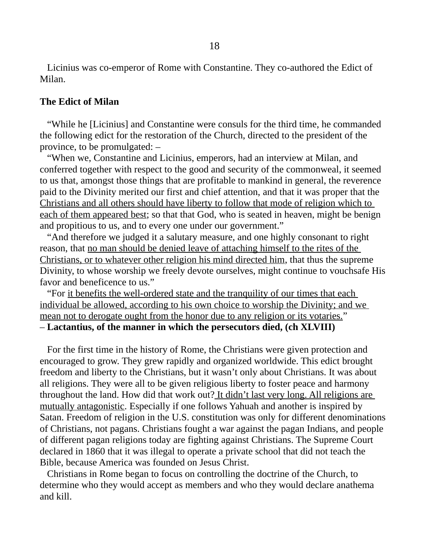Licinius was co-emperor of Rome with Constantine. They co-authored the Edict of Milan.

#### **The Edict of Milan**

 "While he [Licinius] and Constantine were consuls for the third time, he commanded the following edict for the restoration of the Church, directed to the president of the province, to be promulgated: –

 "When we, Constantine and Licinius, emperors, had an interview at Milan, and conferred together with respect to the good and security of the commonweal, it seemed to us that, amongst those things that are profitable to mankind in general, the reverence paid to the Divinity merited our first and chief attention, and that it was proper that the Christians and all others should have liberty to follow that mode of religion which to each of them appeared best; so that that God, who is seated in heaven, might be benign and propitious to us, and to every one under our government."

 "And therefore we judged it a salutary measure, and one highly consonant to right reason, that no man should be denied leave of attaching himself to the rites of the Christians, or to whatever other religion his mind directed him, that thus the supreme Divinity, to whose worship we freely devote ourselves, might continue to vouchsafe His favor and beneficence to us."

 "For it benefits the well-ordered state and the tranquility of our times that each individual be allowed, according to his own choice to worship the Divinity; and we mean not to derogate ought from the honor due to any religion or its votaries." – **Lactantius, of the manner in which the persecutors died, (ch XLVIII)**

 For the first time in the history of Rome, the Christians were given protection and encouraged to grow. They grew rapidly and organized worldwide. This edict brought freedom and liberty to the Christians, but it wasn't only about Christians. It was about all religions. They were all to be given religious liberty to foster peace and harmony throughout the land. How did that work out? It didn't last very long. All religions are mutually antagonistic. Especially if one follows Yahuah and another is inspired by Satan. Freedom of religion in the U.S. constitution was only for different denominations of Christians, not pagans. Christians fought a war against the pagan Indians, and people of different pagan religions today are fighting against Christians. The Supreme Court declared in 1860 that it was illegal to operate a private school that did not teach the Bible, because America was founded on Jesus Christ.

 Christians in Rome began to focus on controlling the doctrine of the Church, to determine who they would accept as members and who they would declare anathema and kill.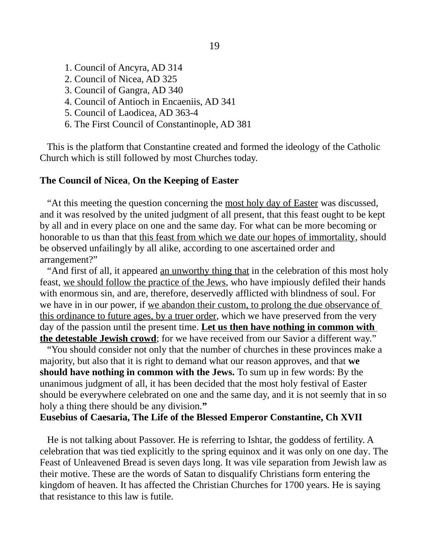- 1. Council of Ancyra, AD 314
- 2. Council of Nicea, AD 325
- 3. Council of Gangra, AD 340
- 4. Council of Antioch in Encaeniis, AD 341
- 5. Council of Laodicea, AD 363-4
- 6. The First Council of Constantinople, AD 381

 This is the platform that Constantine created and formed the ideology of the Catholic Church which is still followed by most Churches today.

#### **The Council of Nicea**, **On the Keeping of Easter**

 "At this meeting the question concerning the most holy day of Easter was discussed, and it was resolved by the united judgment of all present, that this feast ought to be kept by all and in every place on one and the same day. For what can be more becoming or honorable to us than that this feast from which we date our hopes of immortality, should be observed unfailingly by all alike, according to one ascertained order and arrangement?"

 "And first of all, it appeared an unworthy thing that in the celebration of this most holy feast, we should follow the practice of the Jews, who have impiously defiled their hands with enormous sin, and are, therefore, deservedly afflicted with blindness of soul. For we have in in our power, if we abandon their custom, to prolong the due observance of this ordinance to future ages, by a truer order, which we have preserved from the very day of the passion until the present time. **Let us then have nothing in common with the detestable Jewish crowd**; for we have received from our Savior a different way."

 "You should consider not only that the number of churches in these provinces make a majority, but also that it is right to demand what our reason approves, and that **we should have nothing in common with the Jews.** To sum up in few words: By the unanimous judgment of all, it has been decided that the most holy festival of Easter should be everywhere celebrated on one and the same day, and it is not seemly that in so holy a thing there should be any division.**"**

#### **Eusebius of Caesaria, The Life of the Blessed Emperor Constantine, Ch XVII**

 He is not talking about Passover. He is referring to Ishtar, the goddess of fertility. A celebration that was tied explicitly to the spring equinox and it was only on one day. The Feast of Unleavened Bread is seven days long. It was vile separation from Jewish law as their motive. These are the words of Satan to disqualify Christians form entering the kingdom of heaven. It has affected the Christian Churches for 1700 years. He is saying that resistance to this law is futile.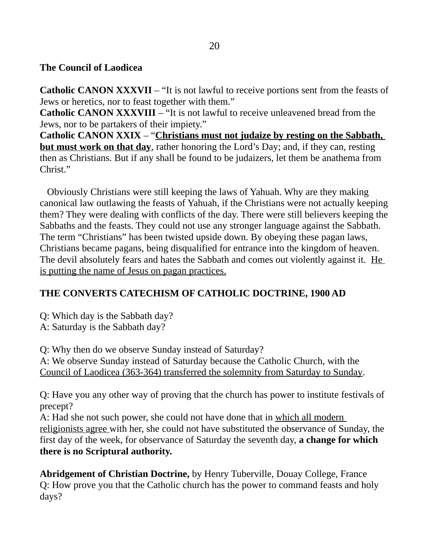## **The Council of Laodicea**

**Catholic CANON XXXVII** – "It is not lawful to receive portions sent from the feasts of Jews or heretics, nor to feast together with them."

**Catholic CANON XXXVIII** – "It is not lawful to receive unleavened bread from the Jews, nor to be partakers of their impiety."

**Catholic CANON XXIX** – "**Christians must not judaize by resting on the Sabbath, but must work on that day**, rather honoring the Lord's Day; and, if they can, resting then as Christians. But if any shall be found to be judaizers, let them be anathema from Christ."

 Obviously Christians were still keeping the laws of Yahuah. Why are they making canonical law outlawing the feasts of Yahuah, if the Christians were not actually keeping them? They were dealing with conflicts of the day. There were still believers keeping the Sabbaths and the feasts. They could not use any stronger language against the Sabbath. The term "Christians" has been twisted upside down. By obeying these pagan laws, Christians became pagans, being disqualified for entrance into the kingdom of heaven. The devil absolutely fears and hates the Sabbath and comes out violently against it. He is putting the name of Jesus on pagan practices.

## **THE CONVERTS CATECHISM OF CATHOLIC DOCTRINE, 1900 AD**

Q: Which day is the Sabbath day?

A: Saturday is the Sabbath day?

Q: Why then do we observe Sunday instead of Saturday?

A: We observe Sunday instead of Saturday because the Catholic Church, with the Council of Laodicea (363-364) transferred the solemnity from Saturday to Sunday.

Q: Have you any other way of proving that the church has power to institute festivals of precept?

A: Had she not such power, she could not have done that in which all modern religionists agree with her, she could not have substituted the observance of Sunday, the first day of the week, for observance of Saturday the seventh day, **a change for which there is no Scriptural authority.** 

**Abridgement of Christian Doctrine,** by Henry Tuberville, Douay College, France Q: How prove you that the Catholic church has the power to command feasts and holy days?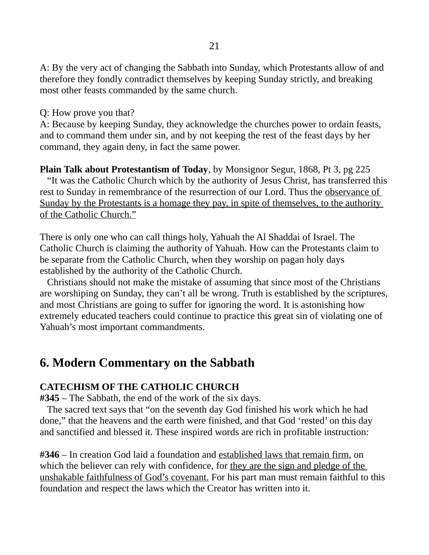A: By the very act of changing the Sabbath into Sunday, which Protestants allow of and therefore they fondly contradict themselves by keeping Sunday strictly, and breaking most other feasts commanded by the same church.

Q: How prove you that?

A: Because by keeping Sunday, they acknowledge the churches power to ordain feasts, and to command them under sin, and by not keeping the rest of the feast days by her command, they again deny, in fact the same power.

**Plain Talk about Protestantism of Today**, by Monsignor Segur, 1868, Pt 3, pg 225 "It was the Catholic Church which by the authority of Jesus Christ, has transferred this rest to Sunday in remembrance of the resurrection of our Lord. Thus the observance of Sunday by the Protestants is a homage they pay, in spite of themselves, to the authority

of the Catholic Church."

There is only one who can call things holy, Yahuah the Al Shaddai of Israel. The Catholic Church is claiming the authority of Yahuah. How can the Protestants claim to be separate from the Catholic Church, when they worship on pagan holy days established by the authority of the Catholic Church.

 Christians should not make the mistake of assuming that since most of the Christians are worshiping on Sunday, they can't all be wrong. Truth is established by the scriptures, and most Christians are going to suffer for ignoring the word. It is astonishing how extremely educated teachers could continue to practice this great sin of violating one of Yahuah's most important commandments.

# **6. Modern Commentary on the Sabbath**

## **CATECHISM OF THE CATHOLIC CHURCH**

**#345** – The Sabbath, the end of the work of the six days.

 The sacred text says that "on the seventh day God finished his work which he had done," that the heavens and the earth were finished, and that God 'rested' on this day and sanctified and blessed it. These inspired words are rich in profitable instruction:

**#346** – In creation God laid a foundation and established laws that remain firm, on which the believer can rely with confidence, for they are the sign and pledge of the unshakable faithfulness of God's covenant. For his part man must remain faithful to this foundation and respect the laws which the Creator has written into it.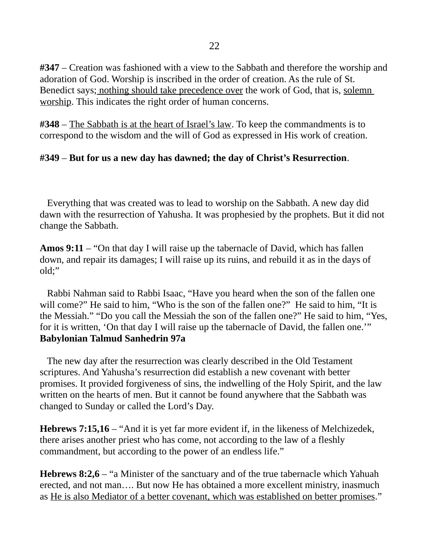**#347** – Creation was fashioned with a view to the Sabbath and therefore the worship and adoration of God. Worship is inscribed in the order of creation. As the rule of St. Benedict says; nothing should take precedence over the work of God, that is, solemn worship. This indicates the right order of human concerns.

**#348** – The Sabbath is at the heart of Israel's law. To keep the commandments is to correspond to the wisdom and the will of God as expressed in His work of creation.

## **#349** – **But for us a new day has dawned; the day of Christ's Resurrection**.

 Everything that was created was to lead to worship on the Sabbath. A new day did dawn with the resurrection of Yahusha. It was prophesied by the prophets. But it did not change the Sabbath.

**Amos 9:11** – "On that day I will raise up the tabernacle of David, which has fallen down, and repair its damages; I will raise up its ruins, and rebuild it as in the days of old;"

 Rabbi Nahman said to Rabbi Isaac, "Have you heard when the son of the fallen one will come?" He said to him, "Who is the son of the fallen one?" He said to him, "It is the Messiah." "Do you call the Messiah the son of the fallen one?" He said to him, "Yes, for it is written, 'On that day I will raise up the tabernacle of David, the fallen one.'" **Babylonian Talmud Sanhedrin 97a**

 The new day after the resurrection was clearly described in the Old Testament scriptures. And Yahusha's resurrection did establish a new covenant with better promises. It provided forgiveness of sins, the indwelling of the Holy Spirit, and the law written on the hearts of men. But it cannot be found anywhere that the Sabbath was changed to Sunday or called the Lord's Day.

**Hebrews 7:15,16** – "And it is yet far more evident if, in the likeness of Melchizedek, there arises another priest who has come, not according to the law of a fleshly commandment, but according to the power of an endless life."

**Hebrews 8:2,6** – "a Minister of the sanctuary and of the true tabernacle which Yahuah erected, and not man…. But now He has obtained a more excellent ministry, inasmuch as He is also Mediator of a better covenant, which was established on better promises."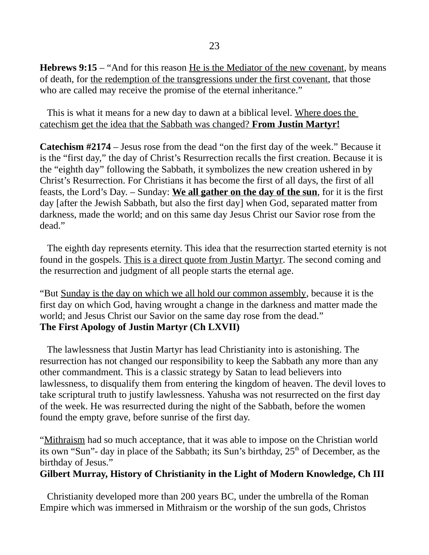**Hebrews 9:15** – "And for this reason He is the Mediator of the new covenant, by means of death, for the redemption of the transgressions under the first covenant, that those who are called may receive the promise of the eternal inheritance."

 This is what it means for a new day to dawn at a biblical level. Where does the catechism get the idea that the Sabbath was changed? **From Justin Martyr!**

**Catechism #2174** – Jesus rose from the dead "on the first day of the week." Because it is the "first day," the day of Christ's Resurrection recalls the first creation. Because it is the "eighth day" following the Sabbath, it symbolizes the new creation ushered in by Christ's Resurrection. For Christians it has become the first of all days, the first of all feasts, the Lord's Day. – Sunday: **We all gather on the day of the sun**, for it is the first day [after the Jewish Sabbath, but also the first day] when God, separated matter from darkness, made the world; and on this same day Jesus Christ our Savior rose from the dead."

 The eighth day represents eternity. This idea that the resurrection started eternity is not found in the gospels. This is a direct quote from Justin Martyr. The second coming and the resurrection and judgment of all people starts the eternal age.

"But Sunday is the day on which we all hold our common assembly, because it is the first day on which God, having wrought a change in the darkness and matter made the world; and Jesus Christ our Savior on the same day rose from the dead." **The First Apology of Justin Martyr (Ch LXVII)**

 The lawlessness that Justin Martyr has lead Christianity into is astonishing. The resurrection has not changed our responsibility to keep the Sabbath any more than any other commandment. This is a classic strategy by Satan to lead believers into lawlessness, to disqualify them from entering the kingdom of heaven. The devil loves to take scriptural truth to justify lawlessness. Yahusha was not resurrected on the first day of the week. He was resurrected during the night of the Sabbath, before the women found the empty grave, before sunrise of the first day.

"Mithraism had so much acceptance, that it was able to impose on the Christian world its own "Sun"- day in place of the Sabbath; its Sun's birthday,  $25<sup>th</sup>$  of December, as the birthday of Jesus."

### **Gilbert Murray, History of Christianity in the Light of Modern Knowledge, Ch III**

Christianity developed more than 200 years BC, under the umbrella of the Roman Empire which was immersed in Mithraism or the worship of the sun gods, Christos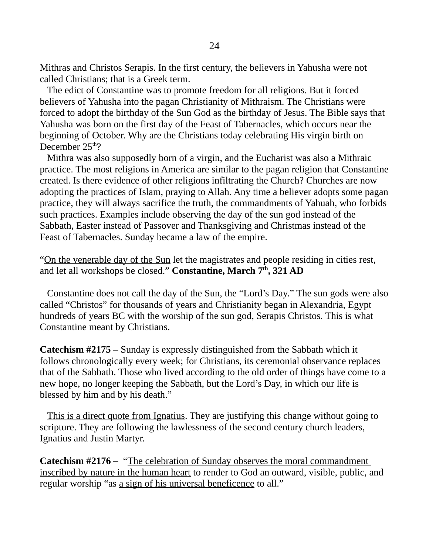Mithras and Christos Serapis. In the first century, the believers in Yahusha were not called Christians; that is a Greek term.

 The edict of Constantine was to promote freedom for all religions. But it forced believers of Yahusha into the pagan Christianity of Mithraism. The Christians were forced to adopt the birthday of the Sun God as the birthday of Jesus. The Bible says that Yahusha was born on the first day of the Feast of Tabernacles, which occurs near the beginning of October. Why are the Christians today celebrating His virgin birth on December  $25<sup>th</sup>$ ?

 Mithra was also supposedly born of a virgin, and the Eucharist was also a Mithraic practice. The most religions in America are similar to the pagan religion that Constantine created. Is there evidence of other religions infiltrating the Church? Churches are now adopting the practices of Islam, praying to Allah. Any time a believer adopts some pagan practice, they will always sacrifice the truth, the commandments of Yahuah, who forbids such practices. Examples include observing the day of the sun god instead of the Sabbath, Easter instead of Passover and Thanksgiving and Christmas instead of the Feast of Tabernacles. Sunday became a law of the empire.

"On the venerable day of the Sun let the magistrates and people residing in cities rest, and let all workshops be closed." **Constantine, March 7th, 321 AD**

 Constantine does not call the day of the Sun, the "Lord's Day." The sun gods were also called "Christos" for thousands of years and Christianity began in Alexandria, Egypt hundreds of years BC with the worship of the sun god, Serapis Christos. This is what Constantine meant by Christians.

**Catechism #2175** – Sunday is expressly distinguished from the Sabbath which it follows chronologically every week; for Christians, its ceremonial observance replaces that of the Sabbath. Those who lived according to the old order of things have come to a new hope, no longer keeping the Sabbath, but the Lord's Day, in which our life is blessed by him and by his death."

 This is a direct quote from Ignatius. They are justifying this change without going to scripture. They are following the lawlessness of the second century church leaders, Ignatius and Justin Martyr.

**Catechism #2176** – "The celebration of Sunday observes the moral commandment inscribed by nature in the human heart to render to God an outward, visible, public, and regular worship "as a sign of his universal beneficence to all."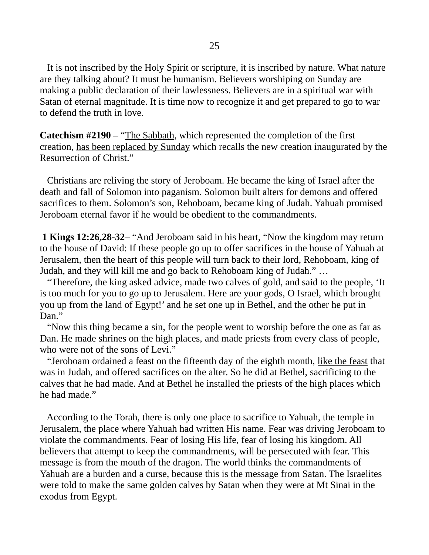It is not inscribed by the Holy Spirit or scripture, it is inscribed by nature. What nature are they talking about? It must be humanism. Believers worshiping on Sunday are making a public declaration of their lawlessness. Believers are in a spiritual war with Satan of eternal magnitude. It is time now to recognize it and get prepared to go to war to defend the truth in love.

**Catechism #2190** – "The Sabbath, which represented the completion of the first creation, has been replaced by Sunday which recalls the new creation inaugurated by the Resurrection of Christ."

 Christians are reliving the story of Jeroboam. He became the king of Israel after the death and fall of Solomon into paganism. Solomon built alters for demons and offered sacrifices to them. Solomon's son, Rehoboam, became king of Judah. Yahuah promised Jeroboam eternal favor if he would be obedient to the commandments.

 **1 Kings 12:26,28-32**– "And Jeroboam said in his heart, "Now the kingdom may return to the house of David: If these people go up to offer sacrifices in the house of Yahuah at Jerusalem, then the heart of this people will turn back to their lord, Rehoboam, king of Judah, and they will kill me and go back to Rehoboam king of Judah." …

 "Therefore, the king asked advice, made two calves of gold, and said to the people, 'It is too much for you to go up to Jerusalem. Here are your gods, O Israel, which brought you up from the land of Egypt!' and he set one up in Bethel, and the other he put in Dan."

 "Now this thing became a sin, for the people went to worship before the one as far as Dan. He made shrines on the high places, and made priests from every class of people, who were not of the sons of Levi."

 "Jeroboam ordained a feast on the fifteenth day of the eighth month, like the feast that was in Judah, and offered sacrifices on the alter. So he did at Bethel, sacrificing to the calves that he had made. And at Bethel he installed the priests of the high places which he had made."

 According to the Torah, there is only one place to sacrifice to Yahuah, the temple in Jerusalem, the place where Yahuah had written His name. Fear was driving Jeroboam to violate the commandments. Fear of losing His life, fear of losing his kingdom. All believers that attempt to keep the commandments, will be persecuted with fear. This message is from the mouth of the dragon. The world thinks the commandments of Yahuah are a burden and a curse, because this is the message from Satan. The Israelites were told to make the same golden calves by Satan when they were at Mt Sinai in the exodus from Egypt.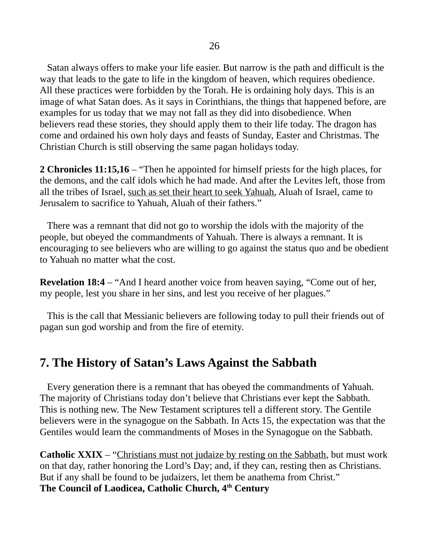Satan always offers to make your life easier. But narrow is the path and difficult is the way that leads to the gate to life in the kingdom of heaven, which requires obedience. All these practices were forbidden by the Torah. He is ordaining holy days. This is an image of what Satan does. As it says in Corinthians, the things that happened before, are examples for us today that we may not fall as they did into disobedience. When believers read these stories, they should apply them to their life today. The dragon has come and ordained his own holy days and feasts of Sunday, Easter and Christmas. The Christian Church is still observing the same pagan holidays today.

**2 Chronicles 11:15,16** – "Then he appointed for himself priests for the high places, for the demons, and the calf idols which he had made. And after the Levites left, those from all the tribes of Israel, such as set their heart to seek Yahuah, Aluah of Israel, came to Jerusalem to sacrifice to Yahuah, Aluah of their fathers."

 There was a remnant that did not go to worship the idols with the majority of the people, but obeyed the commandments of Yahuah. There is always a remnant. It is encouraging to see believers who are willing to go against the status quo and be obedient to Yahuah no matter what the cost.

**Revelation 18:4** – "And I heard another voice from heaven saying, "Come out of her, my people, lest you share in her sins, and lest you receive of her plagues."

 This is the call that Messianic believers are following today to pull their friends out of pagan sun god worship and from the fire of eternity.

# **7. The History of Satan's Laws Against the Sabbath**

 Every generation there is a remnant that has obeyed the commandments of Yahuah. The majority of Christians today don't believe that Christians ever kept the Sabbath. This is nothing new. The New Testament scriptures tell a different story. The Gentile believers were in the synagogue on the Sabbath. In Acts 15, the expectation was that the Gentiles would learn the commandments of Moses in the Synagogue on the Sabbath.

**Catholic XXIX** – "Christians must not judaize by resting on the Sabbath, but must work on that day, rather honoring the Lord's Day; and, if they can, resting then as Christians. But if any shall be found to be judaizers, let them be anathema from Christ." **The Council of Laodicea, Catholic Church, 4th Century**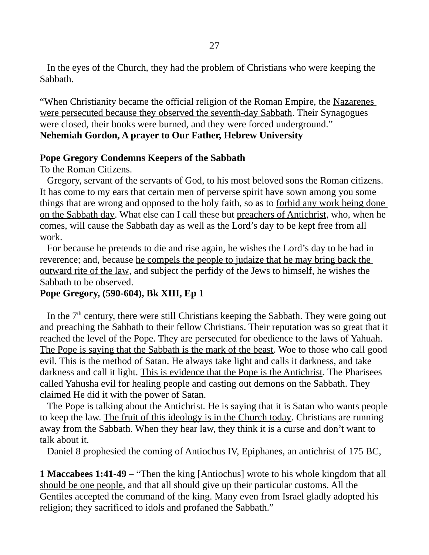In the eyes of the Church, they had the problem of Christians who were keeping the Sabbath.

"When Christianity became the official religion of the Roman Empire, the Nazarenes were persecuted because they observed the seventh-day Sabbath. Their Synagogues were closed, their books were burned, and they were forced underground." **Nehemiah Gordon, A prayer to Our Father, Hebrew University**

#### **Pope Gregory Condemns Keepers of the Sabbath**

To the Roman Citizens.

 Gregory, servant of the servants of God, to his most beloved sons the Roman citizens. It has come to my ears that certain men of perverse spirit have sown among you some things that are wrong and opposed to the holy faith, so as to forbid any work being done on the Sabbath day. What else can I call these but preachers of Antichrist, who, when he comes, will cause the Sabbath day as well as the Lord's day to be kept free from all work.

 For because he pretends to die and rise again, he wishes the Lord's day to be had in reverence; and, because he compels the people to judaize that he may bring back the outward rite of the law, and subject the perfidy of the Jews to himself, he wishes the Sabbath to be observed.

### **Pope Gregory, (590-604), Bk XIII, Ep 1**

In the  $7<sup>th</sup>$  century, there were still Christians keeping the Sabbath. They were going out and preaching the Sabbath to their fellow Christians. Their reputation was so great that it reached the level of the Pope. They are persecuted for obedience to the laws of Yahuah. The Pope is saying that the Sabbath is the mark of the beast. Woe to those who call good evil. This is the method of Satan. He always take light and calls it darkness, and take darkness and call it light. This is evidence that the Pope is the Antichrist. The Pharisees called Yahusha evil for healing people and casting out demons on the Sabbath. They claimed He did it with the power of Satan.

The Pope is talking about the Antichrist. He is saying that it is Satan who wants people to keep the law. The fruit of this ideology is in the Church today. Christians are running away from the Sabbath. When they hear law, they think it is a curse and don't want to talk about it.

Daniel 8 prophesied the coming of Antiochus IV, Epiphanes, an antichrist of 175 BC,

**1 Maccabees 1:41-49** – "Then the king [Antiochus] wrote to his whole kingdom that all should be one people, and that all should give up their particular customs. All the Gentiles accepted the command of the king. Many even from Israel gladly adopted his religion; they sacrificed to idols and profaned the Sabbath."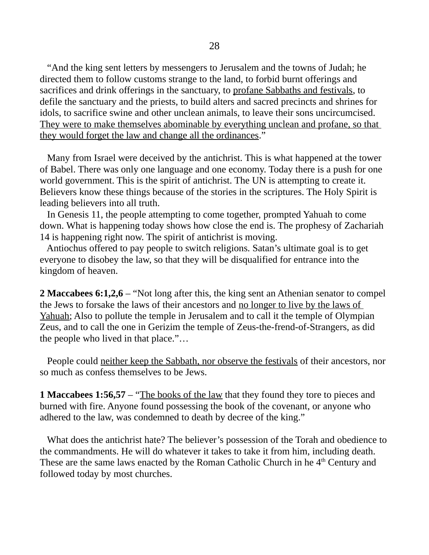"And the king sent letters by messengers to Jerusalem and the towns of Judah; he directed them to follow customs strange to the land, to forbid burnt offerings and sacrifices and drink offerings in the sanctuary, to profane Sabbaths and festivals, to defile the sanctuary and the priests, to build alters and sacred precincts and shrines for idols, to sacrifice swine and other unclean animals, to leave their sons uncircumcised. They were to make themselves abominable by everything unclean and profane, so that they would forget the law and change all the ordinances."

 Many from Israel were deceived by the antichrist. This is what happened at the tower of Babel. There was only one language and one economy. Today there is a push for one world government. This is the spirit of antichrist. The UN is attempting to create it. Believers know these things because of the stories in the scriptures. The Holy Spirit is leading believers into all truth.

 In Genesis 11, the people attempting to come together, prompted Yahuah to come down. What is happening today shows how close the end is. The prophesy of Zachariah 14 is happening right now. The spirit of antichrist is moving.

 Antiochus offered to pay people to switch religions. Satan's ultimate goal is to get everyone to disobey the law, so that they will be disqualified for entrance into the kingdom of heaven.

**2 Maccabees 6:1,2,6** – "Not long after this, the king sent an Athenian senator to compel the Jews to forsake the laws of their ancestors and no longer to live by the laws of Yahuah; Also to pollute the temple in Jerusalem and to call it the temple of Olympian Zeus, and to call the one in Gerizim the temple of Zeus-the-frend-of-Strangers, as did the people who lived in that place."…

People could neither keep the Sabbath, nor observe the festivals of their ancestors, nor so much as confess themselves to be Jews.

**1 Maccabees 1:56,57** – "The books of the law that they found they tore to pieces and burned with fire. Anyone found possessing the book of the covenant, or anyone who adhered to the law, was condemned to death by decree of the king."

 What does the antichrist hate? The believer's possession of the Torah and obedience to the commandments. He will do whatever it takes to take it from him, including death. These are the same laws enacted by the Roman Catholic Church in he  $4<sup>th</sup>$  Century and followed today by most churches.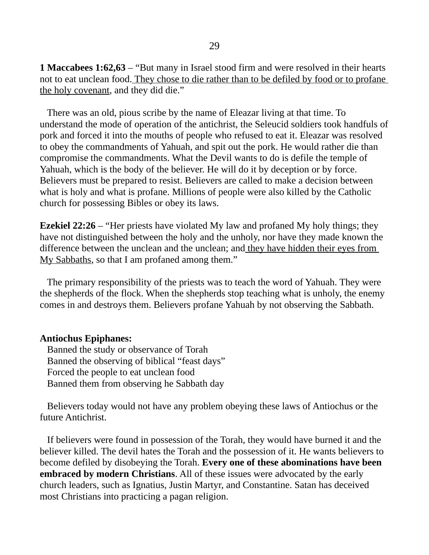**1 Maccabees 1:62,63** – "But many in Israel stood firm and were resolved in their hearts not to eat unclean food. They chose to die rather than to be defiled by food or to profane the holy covenant, and they did die."

 There was an old, pious scribe by the name of Eleazar living at that time. To understand the mode of operation of the antichrist, the Seleucid soldiers took handfuls of pork and forced it into the mouths of people who refused to eat it. Eleazar was resolved to obey the commandments of Yahuah, and spit out the pork. He would rather die than compromise the commandments. What the Devil wants to do is defile the temple of Yahuah, which is the body of the believer. He will do it by deception or by force. Believers must be prepared to resist. Believers are called to make a decision between what is holy and what is profane. Millions of people were also killed by the Catholic church for possessing Bibles or obey its laws.

**Ezekiel 22:26** – "Her priests have violated My law and profaned My holy things; they have not distinguished between the holy and the unholy, nor have they made known the difference between the unclean and the unclean; and they have hidden their eyes from My Sabbaths, so that I am profaned among them."

 The primary responsibility of the priests was to teach the word of Yahuah. They were the shepherds of the flock. When the shepherds stop teaching what is unholy, the enemy comes in and destroys them. Believers profane Yahuah by not observing the Sabbath.

### **Antiochus Epiphanes:**

 Banned the study or observance of Torah Banned the observing of biblical "feast days" Forced the people to eat unclean food Banned them from observing he Sabbath day

 Believers today would not have any problem obeying these laws of Antiochus or the future Antichrist.

 If believers were found in possession of the Torah, they would have burned it and the believer killed. The devil hates the Torah and the possession of it. He wants believers to become defiled by disobeying the Torah. **Every one of these abominations have been embraced by modern Christians**. All of these issues were advocated by the early church leaders, such as Ignatius, Justin Martyr, and Constantine. Satan has deceived most Christians into practicing a pagan religion.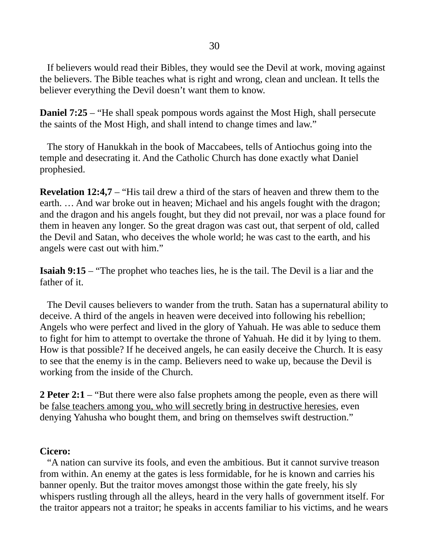If believers would read their Bibles, they would see the Devil at work, moving against the believers. The Bible teaches what is right and wrong, clean and unclean. It tells the believer everything the Devil doesn't want them to know.

**Daniel 7:25** – "He shall speak pompous words against the Most High, shall persecute the saints of the Most High, and shall intend to change times and law."

 The story of Hanukkah in the book of Maccabees, tells of Antiochus going into the temple and desecrating it. And the Catholic Church has done exactly what Daniel prophesied.

**Revelation 12:4,7** – "His tail drew a third of the stars of heaven and threw them to the earth. … And war broke out in heaven; Michael and his angels fought with the dragon; and the dragon and his angels fought, but they did not prevail, nor was a place found for them in heaven any longer. So the great dragon was cast out, that serpent of old, called the Devil and Satan, who deceives the whole world; he was cast to the earth, and his angels were cast out with him."

**Isaiah 9:15** – "The prophet who teaches lies, he is the tail. The Devil is a liar and the father of it.

 The Devil causes believers to wander from the truth. Satan has a supernatural ability to deceive. A third of the angels in heaven were deceived into following his rebellion; Angels who were perfect and lived in the glory of Yahuah. He was able to seduce them to fight for him to attempt to overtake the throne of Yahuah. He did it by lying to them. How is that possible? If he deceived angels, he can easily deceive the Church. It is easy to see that the enemy is in the camp. Believers need to wake up, because the Devil is working from the inside of the Church.

**2 Peter 2:1** – "But there were also false prophets among the people, even as there will be false teachers among you, who will secretly bring in destructive heresies, even denying Yahusha who bought them, and bring on themselves swift destruction."

### **Cicero:**

 "A nation can survive its fools, and even the ambitious. But it cannot survive treason from within. An enemy at the gates is less formidable, for he is known and carries his banner openly. But the traitor moves amongst those within the gate freely, his sly whispers rustling through all the alleys, heard in the very halls of government itself. For the traitor appears not a traitor; he speaks in accents familiar to his victims, and he wears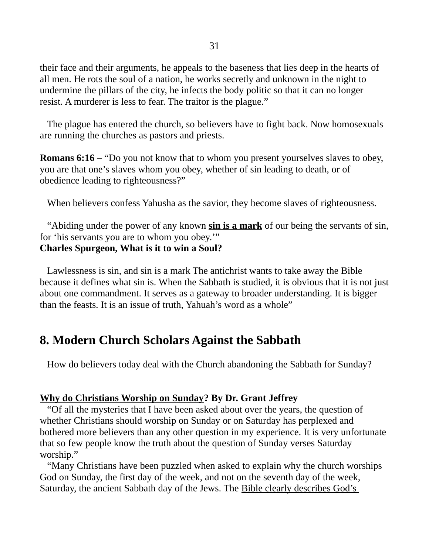their face and their arguments, he appeals to the baseness that lies deep in the hearts of all men. He rots the soul of a nation, he works secretly and unknown in the night to undermine the pillars of the city, he infects the body politic so that it can no longer resist. A murderer is less to fear. The traitor is the plague."

 The plague has entered the church, so believers have to fight back. Now homosexuals are running the churches as pastors and priests.

**Romans 6:16** – "Do you not know that to whom you present yourselves slaves to obey, you are that one's slaves whom you obey, whether of sin leading to death, or of obedience leading to righteousness?"

When believers confess Yahusha as the savior, they become slaves of righteousness.

 "Abiding under the power of any known **sin is a mark** of our being the servants of sin, for 'his servants you are to whom you obey.'" **Charles Spurgeon, What is it to win a Soul?**

Lawlessness is sin, and sin is a mark The antichrist wants to take away the Bible because it defines what sin is. When the Sabbath is studied, it is obvious that it is not just about one commandment. It serves as a gateway to broader understanding. It is bigger than the feasts. It is an issue of truth, Yahuah's word as a whole"

# **8. Modern Church Scholars Against the Sabbath**

How do believers today deal with the Church abandoning the Sabbath for Sunday?

### **Why do Christians Worship on Sunday? By Dr. Grant Jeffrey**

"Of all the mysteries that I have been asked about over the years, the question of whether Christians should worship on Sunday or on Saturday has perplexed and bothered more believers than any other question in my experience. It is very unfortunate that so few people know the truth about the question of Sunday verses Saturday worship."

 "Many Christians have been puzzled when asked to explain why the church worships God on Sunday, the first day of the week, and not on the seventh day of the week, Saturday, the ancient Sabbath day of the Jews. The Bible clearly describes God's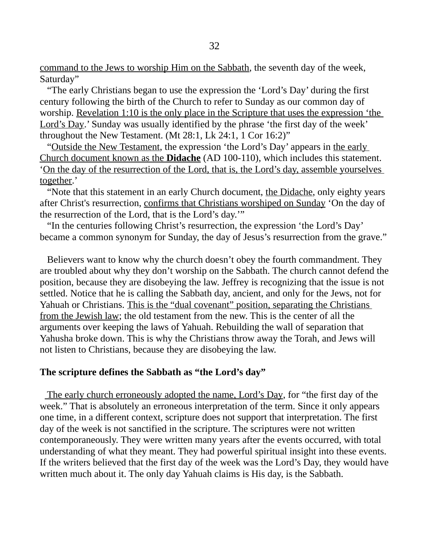command to the Jews to worship Him on the Sabbath, the seventh day of the week, Saturday"

 "The early Christians began to use the expression the 'Lord's Day' during the first century following the birth of the Church to refer to Sunday as our common day of worship. Revelation 1:10 is the only place in the Scripture that uses the expression 'the Lord's Day.' Sunday was usually identified by the phrase 'the first day of the week' throughout the New Testament. (Mt 28:1, Lk 24:1, 1 Cor 16:2)"

 "Outside the New Testament, the expression 'the Lord's Day' appears in the early Church document known as the **Didache** (AD 100-110), which includes this statement. 'On the day of the resurrection of the Lord, that is, the Lord's day, assemble yourselves together.'

"Note that this statement in an early Church document, the Didache, only eighty years after Christ's resurrection, confirms that Christians worshiped on Sunday 'On the day of the resurrection of the Lord, that is the Lord's day.'"

 "In the centuries following Christ's resurrection, the expression 'the Lord's Day' became a common synonym for Sunday, the day of Jesus's resurrection from the grave."

 Believers want to know why the church doesn't obey the fourth commandment. They are troubled about why they don't worship on the Sabbath. The church cannot defend the position, because they are disobeying the law. Jeffrey is recognizing that the issue is not settled. Notice that he is calling the Sabbath day, ancient, and only for the Jews, not for Yahuah or Christians. This is the "dual covenant" position, separating the Christians from the Jewish law; the old testament from the new. This is the center of all the arguments over keeping the laws of Yahuah. Rebuilding the wall of separation that Yahusha broke down. This is why the Christians throw away the Torah, and Jews will not listen to Christians, because they are disobeying the law.

### **The scripture defines the Sabbath as "the Lord's day"**

 The early church erroneously adopted the name, Lord's Day, for "the first day of the week." That is absolutely an erroneous interpretation of the term. Since it only appears one time, in a different context, scripture does not support that interpretation. The first day of the week is not sanctified in the scripture. The scriptures were not written contemporaneously. They were written many years after the events occurred, with total understanding of what they meant. They had powerful spiritual insight into these events. If the writers believed that the first day of the week was the Lord's Day, they would have written much about it. The only day Yahuah claims is His day, is the Sabbath.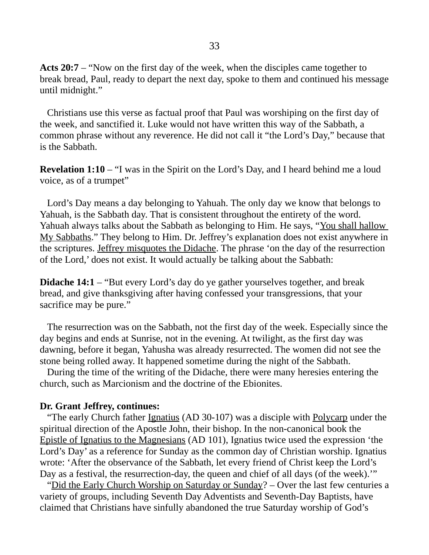**Acts 20:7** – "Now on the first day of the week, when the disciples came together to break bread, Paul, ready to depart the next day, spoke to them and continued his message until midnight."

 Christians use this verse as factual proof that Paul was worshiping on the first day of the week, and sanctified it. Luke would not have written this way of the Sabbath, a common phrase without any reverence. He did not call it "the Lord's Day," because that is the Sabbath.

**Revelation 1:10** – "I was in the Spirit on the Lord's Day, and I heard behind me a loud voice, as of a trumpet"

 Lord's Day means a day belonging to Yahuah. The only day we know that belongs to Yahuah, is the Sabbath day. That is consistent throughout the entirety of the word. Yahuah always talks about the Sabbath as belonging to Him. He says, "You shall hallow My Sabbaths." They belong to Him. Dr. Jeffrey's explanation does not exist anywhere in the scriptures. Jeffrey misquotes the Didache. The phrase 'on the day of the resurrection of the Lord,' does not exist. It would actually be talking about the Sabbath:

**Didache 14:1** – "But every Lord's day do ye gather yourselves together, and break bread, and give thanksgiving after having confessed your transgressions, that your sacrifice may be pure."

 The resurrection was on the Sabbath, not the first day of the week. Especially since the day begins and ends at Sunrise, not in the evening. At twilight, as the first day was dawning, before it began, Yahusha was already resurrected. The women did not see the stone being rolled away. It happened sometime during the night of the Sabbath.

 During the time of the writing of the Didache, there were many heresies entering the church, such as Marcionism and the doctrine of the Ebionites.

#### **Dr. Grant Jeffrey, continues:**

 "The early Church father Ignatius (AD 30-107) was a disciple with Polycarp under the spiritual direction of the Apostle John, their bishop. In the non-canonical book the Epistle of Ignatius to the Magnesians (AD 101), Ignatius twice used the expression 'the Lord's Day' as a reference for Sunday as the common day of Christian worship. Ignatius wrote: 'After the observance of the Sabbath, let every friend of Christ keep the Lord's Day as a festival, the resurrection-day, the queen and chief of all days (of the week).'"

 "Did the Early Church Worship on Saturday or Sunday? – Over the last few centuries a variety of groups, including Seventh Day Adventists and Seventh-Day Baptists, have claimed that Christians have sinfully abandoned the true Saturday worship of God's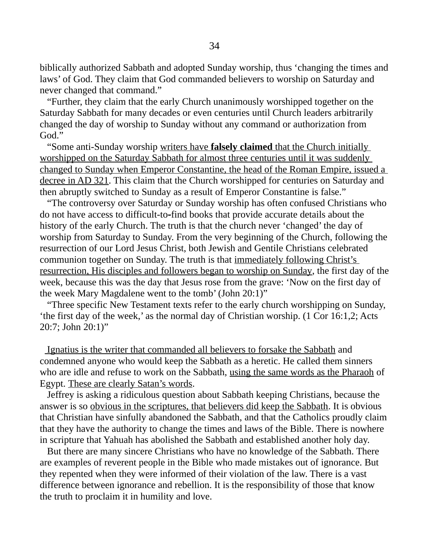biblically authorized Sabbath and adopted Sunday worship, thus 'changing the times and laws' of God. They claim that God commanded believers to worship on Saturday and never changed that command."

 "Further, they claim that the early Church unanimously worshipped together on the Saturday Sabbath for many decades or even centuries until Church leaders arbitrarily changed the day of worship to Sunday without any command or authorization from God."

 "Some anti-Sunday worship writers have **falsely claimed** that the Church initially worshipped on the Saturday Sabbath for almost three centuries until it was suddenly changed to Sunday when Emperor Constantine, the head of the Roman Empire, issued a decree in AD 321. This claim that the Church worshipped for centuries on Saturday and then abruptly switched to Sunday as a result of Emperor Constantine is false."

 "The controversy over Saturday or Sunday worship has often confused Christians who do not have access to difficult-to-find books that provide accurate details about the history of the early Church. The truth is that the church never 'changed' the day of worship from Saturday to Sunday. From the very beginning of the Church, following the resurrection of our Lord Jesus Christ, both Jewish and Gentile Christians celebrated communion together on Sunday. The truth is that immediately following Christ's resurrection, His disciples and followers began to worship on Sunday, the first day of the week, because this was the day that Jesus rose from the grave: 'Now on the first day of the week Mary Magdalene went to the tomb' (John 20:1)"

 "Three specific New Testament texts refer to the early church worshipping on Sunday, 'the first day of the week,' as the normal day of Christian worship. (1 Cor 16:1,2; Acts 20:7; John 20:1)"

 Ignatius is the writer that commanded all believers to forsake the Sabbath and condemned anyone who would keep the Sabbath as a heretic. He called them sinners who are idle and refuse to work on the Sabbath, using the same words as the Pharaoh of Egypt. These are clearly Satan's words.

 Jeffrey is asking a ridiculous question about Sabbath keeping Christians, because the answer is so obvious in the scriptures, that believers did keep the Sabbath. It is obvious that Christian have sinfully abandoned the Sabbath, and that the Catholics proudly claim that they have the authority to change the times and laws of the Bible. There is nowhere in scripture that Yahuah has abolished the Sabbath and established another holy day.

 But there are many sincere Christians who have no knowledge of the Sabbath. There are examples of reverent people in the Bible who made mistakes out of ignorance. But they repented when they were informed of their violation of the law. There is a vast difference between ignorance and rebellion. It is the responsibility of those that know the truth to proclaim it in humility and love.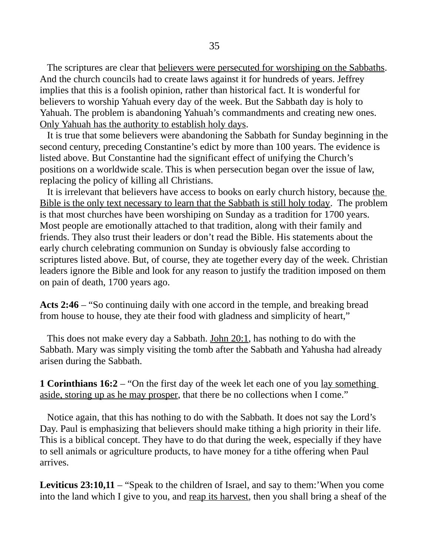The scriptures are clear that believers were persecuted for worshiping on the Sabbaths. And the church councils had to create laws against it for hundreds of years. Jeffrey implies that this is a foolish opinion, rather than historical fact. It is wonderful for believers to worship Yahuah every day of the week. But the Sabbath day is holy to Yahuah. The problem is abandoning Yahuah's commandments and creating new ones. Only Yahuah has the authority to establish holy days.

 It is true that some believers were abandoning the Sabbath for Sunday beginning in the second century, preceding Constantine's edict by more than 100 years. The evidence is listed above. But Constantine had the significant effect of unifying the Church's positions on a worldwide scale. This is when persecution began over the issue of law, replacing the policy of killing all Christians.

It is irrelevant that believers have access to books on early church history, because the Bible is the only text necessary to learn that the Sabbath is still holy today. The problem is that most churches have been worshiping on Sunday as a tradition for 1700 years. Most people are emotionally attached to that tradition, along with their family and friends. They also trust their leaders or don't read the Bible. His statements about the early church celebrating communion on Sunday is obviously false according to scriptures listed above. But, of course, they ate together every day of the week. Christian leaders ignore the Bible and look for any reason to justify the tradition imposed on them on pain of death, 1700 years ago.

**Acts 2:46** – "So continuing daily with one accord in the temple, and breaking bread from house to house, they ate their food with gladness and simplicity of heart,"

This does not make every day a Sabbath. John 20:1, has nothing to do with the Sabbath. Mary was simply visiting the tomb after the Sabbath and Yahusha had already arisen during the Sabbath.

**1 Corinthians 16:2** – "On the first day of the week let each one of you <u>lay something</u> aside, storing up as he may prosper, that there be no collections when I come."

 Notice again, that this has nothing to do with the Sabbath. It does not say the Lord's Day. Paul is emphasizing that believers should make tithing a high priority in their life. This is a biblical concept. They have to do that during the week, especially if they have to sell animals or agriculture products, to have money for a tithe offering when Paul arrives.

**Leviticus 23:10,11** – "Speak to the children of Israel, and say to them:'When you come into the land which I give to you, and reap its harvest, then you shall bring a sheaf of the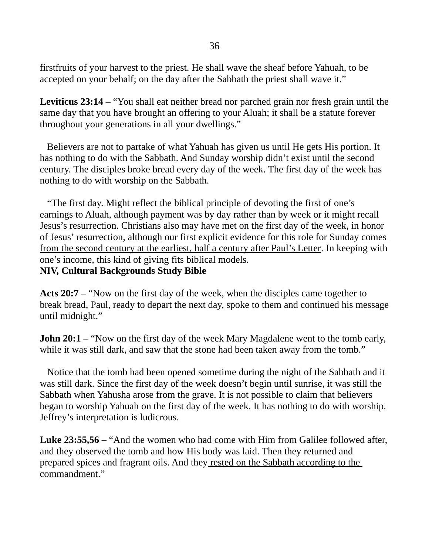firstfruits of your harvest to the priest. He shall wave the sheaf before Yahuah, to be accepted on your behalf; on the day after the Sabbath the priest shall wave it."

**Leviticus 23:14** – "You shall eat neither bread nor parched grain nor fresh grain until the same day that you have brought an offering to your Aluah; it shall be a statute forever throughout your generations in all your dwellings."

 Believers are not to partake of what Yahuah has given us until He gets His portion. It has nothing to do with the Sabbath. And Sunday worship didn't exist until the second century. The disciples broke bread every day of the week. The first day of the week has nothing to do with worship on the Sabbath.

 "The first day. Might reflect the biblical principle of devoting the first of one's earnings to Aluah, although payment was by day rather than by week or it might recall Jesus's resurrection. Christians also may have met on the first day of the week, in honor of Jesus' resurrection, although our first explicit evidence for this role for Sunday comes from the second century at the earliest, half a century after Paul's Letter. In keeping with one's income, this kind of giving fits biblical models. **NIV, Cultural Backgrounds Study Bible**

**Acts 20:7** – "Now on the first day of the week, when the disciples came together to break bread, Paul, ready to depart the next day, spoke to them and continued his message until midnight."

**John 20:1** – "Now on the first day of the week Mary Magdalene went to the tomb early, while it was still dark, and saw that the stone had been taken away from the tomb."

 Notice that the tomb had been opened sometime during the night of the Sabbath and it was still dark. Since the first day of the week doesn't begin until sunrise, it was still the Sabbath when Yahusha arose from the grave. It is not possible to claim that believers began to worship Yahuah on the first day of the week. It has nothing to do with worship. Jeffrey's interpretation is ludicrous.

**Luke 23:55,56** – "And the women who had come with Him from Galilee followed after, and they observed the tomb and how His body was laid. Then they returned and prepared spices and fragrant oils. And they rested on the Sabbath according to the commandment."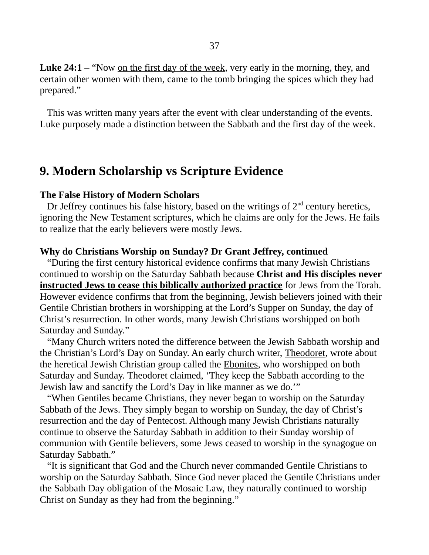This was written many years after the event with clear understanding of the events. Luke purposely made a distinction between the Sabbath and the first day of the week.

# **9. Modern Scholarship vs Scripture Evidence**

### **The False History of Modern Scholars**

Dr Jeffrey continues his false history, based on the writings of  $2<sup>nd</sup>$  century heretics, ignoring the New Testament scriptures, which he claims are only for the Jews. He fails to realize that the early believers were mostly Jews.

### **Why do Christians Worship on Sunday? Dr Grant Jeffrey, continued**

 "During the first century historical evidence confirms that many Jewish Christians continued to worship on the Saturday Sabbath because **Christ and His disciples never instructed Jews to cease this biblically authorized practice** for Jews from the Torah. However evidence confirms that from the beginning, Jewish believers joined with their Gentile Christian brothers in worshipping at the Lord's Supper on Sunday, the day of Christ's resurrection. In other words, many Jewish Christians worshipped on both Saturday and Sunday."

 "Many Church writers noted the difference between the Jewish Sabbath worship and the Christian's Lord's Day on Sunday. An early church writer, Theodoret, wrote about the heretical Jewish Christian group called the Ebonites, who worshipped on both Saturday and Sunday. Theodoret claimed, 'They keep the Sabbath according to the Jewish law and sanctify the Lord's Day in like manner as we do.'"

 "When Gentiles became Christians, they never began to worship on the Saturday Sabbath of the Jews. They simply began to worship on Sunday, the day of Christ's resurrection and the day of Pentecost. Although many Jewish Christians naturally continue to observe the Saturday Sabbath in addition to their Sunday worship of communion with Gentile believers, some Jews ceased to worship in the synagogue on Saturday Sabbath."

 "It is significant that God and the Church never commanded Gentile Christians to worship on the Saturday Sabbath. Since God never placed the Gentile Christians under the Sabbath Day obligation of the Mosaic Law, they naturally continued to worship Christ on Sunday as they had from the beginning."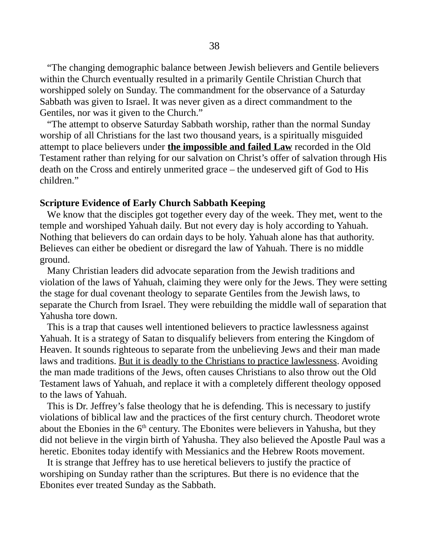"The changing demographic balance between Jewish believers and Gentile believers within the Church eventually resulted in a primarily Gentile Christian Church that worshipped solely on Sunday. The commandment for the observance of a Saturday Sabbath was given to Israel. It was never given as a direct commandment to the Gentiles, nor was it given to the Church."

 "The attempt to observe Saturday Sabbath worship, rather than the normal Sunday worship of all Christians for the last two thousand years, is a spiritually misguided attempt to place believers under **the impossible and failed Law** recorded in the Old Testament rather than relying for our salvation on Christ's offer of salvation through His death on the Cross and entirely unmerited grace – the undeserved gift of God to His children."

### **Scripture Evidence of Early Church Sabbath Keeping**

 We know that the disciples got together every day of the week. They met, went to the temple and worshiped Yahuah daily. But not every day is holy according to Yahuah. Nothing that believers do can ordain days to be holy. Yahuah alone has that authority. Believes can either be obedient or disregard the law of Yahuah. There is no middle ground.

 Many Christian leaders did advocate separation from the Jewish traditions and violation of the laws of Yahuah, claiming they were only for the Jews. They were setting the stage for dual covenant theology to separate Gentiles from the Jewish laws, to separate the Church from Israel. They were rebuilding the middle wall of separation that Yahusha tore down.

 This is a trap that causes well intentioned believers to practice lawlessness against Yahuah. It is a strategy of Satan to disqualify believers from entering the Kingdom of Heaven. It sounds righteous to separate from the unbelieving Jews and their man made laws and traditions. But it is deadly to the Christians to practice lawlessness. Avoiding the man made traditions of the Jews, often causes Christians to also throw out the Old Testament laws of Yahuah, and replace it with a completely different theology opposed to the laws of Yahuah.

 This is Dr. Jeffrey's false theology that he is defending. This is necessary to justify violations of biblical law and the practices of the first century church. Theodoret wrote about the Ebonies in the  $6<sup>th</sup>$  century. The Ebonites were believers in Yahusha, but they did not believe in the virgin birth of Yahusha. They also believed the Apostle Paul was a heretic. Ebonites today identify with Messianics and the Hebrew Roots movement.

 It is strange that Jeffrey has to use heretical believers to justify the practice of worshiping on Sunday rather than the scriptures. But there is no evidence that the Ebonites ever treated Sunday as the Sabbath.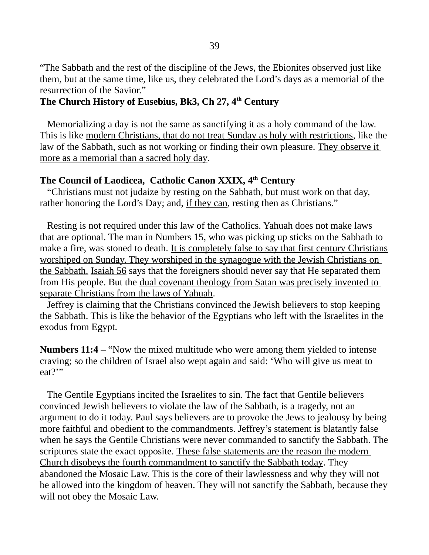"The Sabbath and the rest of the discipline of the Jews, the Ebionites observed just like them, but at the same time, like us, they celebrated the Lord's days as a memorial of the resurrection of the Savior."

## **The Church History of Eusebius, Bk3, Ch 27, 4th Century**

 Memorializing a day is not the same as sanctifying it as a holy command of the law. This is like modern Christians, that do not treat Sunday as holy with restrictions, like the law of the Sabbath, such as not working or finding their own pleasure. They observe it more as a memorial than a sacred holy day.

## **The Council of Laodicea, Catholic Canon XXIX, 4 th Century**

 "Christians must not judaize by resting on the Sabbath, but must work on that day, rather honoring the Lord's Day; and, if they can, resting then as Christians."

 Resting is not required under this law of the Catholics. Yahuah does not make laws that are optional. The man in Numbers 15, who was picking up sticks on the Sabbath to make a fire, was stoned to death. It is completely false to say that first century Christians worshiped on Sunday. They worshiped in the synagogue with the Jewish Christians on the Sabbath. Isaiah 56 says that the foreigners should never say that He separated them from His people. But the dual covenant theology from Satan was precisely invented to separate Christians from the laws of Yahuah.

 Jeffrey is claiming that the Christians convinced the Jewish believers to stop keeping the Sabbath. This is like the behavior of the Egyptians who left with the Israelites in the exodus from Egypt.

**Numbers 11:4** – "Now the mixed multitude who were among them yielded to intense craving; so the children of Israel also wept again and said: 'Who will give us meat to eat?"

 The Gentile Egyptians incited the Israelites to sin. The fact that Gentile believers convinced Jewish believers to violate the law of the Sabbath, is a tragedy, not an argument to do it today. Paul says believers are to provoke the Jews to jealousy by being more faithful and obedient to the commandments. Jeffrey's statement is blatantly false when he says the Gentile Christians were never commanded to sanctify the Sabbath. The scriptures state the exact opposite. These false statements are the reason the modern Church disobeys the fourth commandment to sanctify the Sabbath today. They abandoned the Mosaic Law. This is the core of their lawlessness and why they will not be allowed into the kingdom of heaven. They will not sanctify the Sabbath, because they will not obey the Mosaic Law.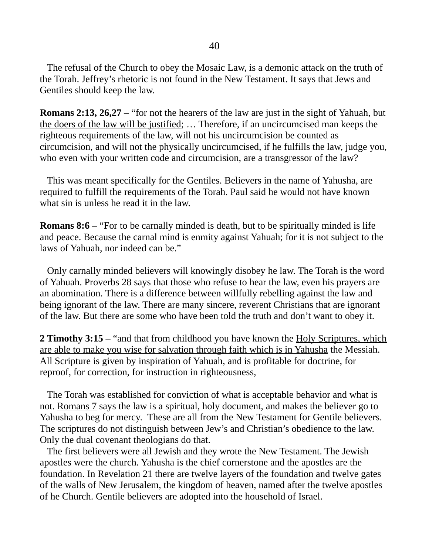The refusal of the Church to obey the Mosaic Law, is a demonic attack on the truth of the Torah. Jeffrey's rhetoric is not found in the New Testament. It says that Jews and Gentiles should keep the law.

**Romans 2:13, 26,27** – "for not the hearers of the law are just in the sight of Yahuah, but the doers of the law will be justified; … Therefore, if an uncircumcised man keeps the righteous requirements of the law, will not his uncircumcision be counted as circumcision, and will not the physically uncircumcised, if he fulfills the law, judge you, who even with your written code and circumcision, are a transgressor of the law?

 This was meant specifically for the Gentiles. Believers in the name of Yahusha, are required to fulfill the requirements of the Torah. Paul said he would not have known what sin is unless he read it in the law.

**Romans 8:6** – "For to be carnally minded is death, but to be spiritually minded is life and peace. Because the carnal mind is enmity against Yahuah; for it is not subject to the laws of Yahuah, nor indeed can be."

 Only carnally minded believers will knowingly disobey he law. The Torah is the word of Yahuah. Proverbs 28 says that those who refuse to hear the law, even his prayers are an abomination. There is a difference between willfully rebelling against the law and being ignorant of the law. There are many sincere, reverent Christians that are ignorant of the law. But there are some who have been told the truth and don't want to obey it.

**2 Timothy 3:15** – "and that from childhood you have known the Holy Scriptures, which are able to make you wise for salvation through faith which is in Yahusha the Messiah. All Scripture is given by inspiration of Yahuah, and is profitable for doctrine, for reproof, for correction, for instruction in righteousness,

 The Torah was established for conviction of what is acceptable behavior and what is not. Romans 7 says the law is a spiritual, holy document, and makes the believer go to Yahusha to beg for mercy. These are all from the New Testament for Gentile believers. The scriptures do not distinguish between Jew's and Christian's obedience to the law. Only the dual covenant theologians do that.

 The first believers were all Jewish and they wrote the New Testament. The Jewish apostles were the church. Yahusha is the chief cornerstone and the apostles are the foundation. In Revelation 21 there are twelve layers of the foundation and twelve gates of the walls of New Jerusalem, the kingdom of heaven, named after the twelve apostles of he Church. Gentile believers are adopted into the household of Israel.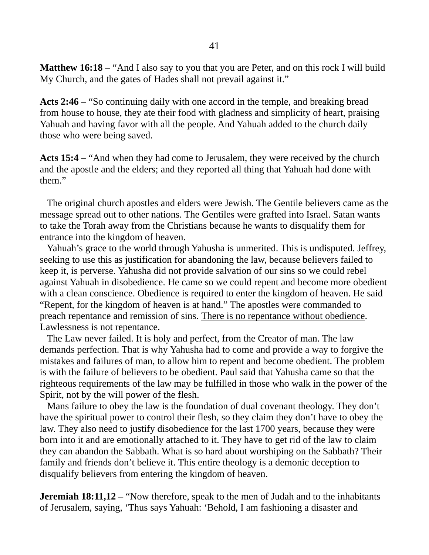**Matthew 16:18** – "And I also say to you that you are Peter, and on this rock I will build My Church, and the gates of Hades shall not prevail against it."

**Acts 2:46** – "So continuing daily with one accord in the temple, and breaking bread from house to house, they ate their food with gladness and simplicity of heart, praising Yahuah and having favor with all the people. And Yahuah added to the church daily those who were being saved.

**Acts 15:4** – "And when they had come to Jerusalem, they were received by the church and the apostle and the elders; and they reported all thing that Yahuah had done with them."

 The original church apostles and elders were Jewish. The Gentile believers came as the message spread out to other nations. The Gentiles were grafted into Israel. Satan wants to take the Torah away from the Christians because he wants to disqualify them for entrance into the kingdom of heaven.

 Yahuah's grace to the world through Yahusha is unmerited. This is undisputed. Jeffrey, seeking to use this as justification for abandoning the law, because believers failed to keep it, is perverse. Yahusha did not provide salvation of our sins so we could rebel against Yahuah in disobedience. He came so we could repent and become more obedient with a clean conscience. Obedience is required to enter the kingdom of heaven. He said "Repent, for the kingdom of heaven is at hand." The apostles were commanded to preach repentance and remission of sins. There is no repentance without obedience. Lawlessness is not repentance.

 The Law never failed. It is holy and perfect, from the Creator of man. The law demands perfection. That is why Yahusha had to come and provide a way to forgive the mistakes and failures of man, to allow him to repent and become obedient. The problem is with the failure of believers to be obedient. Paul said that Yahusha came so that the righteous requirements of the law may be fulfilled in those who walk in the power of the Spirit, not by the will power of the flesh.

 Mans failure to obey the law is the foundation of dual covenant theology. They don't have the spiritual power to control their flesh, so they claim they don't have to obey the law. They also need to justify disobedience for the last 1700 years, because they were born into it and are emotionally attached to it. They have to get rid of the law to claim they can abandon the Sabbath. What is so hard about worshiping on the Sabbath? Their family and friends don't believe it. This entire theology is a demonic deception to disqualify believers from entering the kingdom of heaven.

**Jeremiah 18:11,12** – "Now therefore, speak to the men of Judah and to the inhabitants of Jerusalem, saying, 'Thus says Yahuah: 'Behold, I am fashioning a disaster and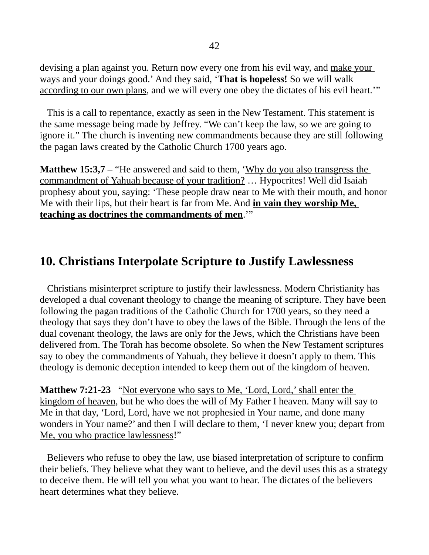devising a plan against you. Return now every one from his evil way, and make your ways and your doings good.' And they said, '**That is hopeless!** So we will walk according to our own plans, and we will every one obey the dictates of his evil heart.'"

 This is a call to repentance, exactly as seen in the New Testament. This statement is the same message being made by Jeffrey. "We can't keep the law, so we are going to ignore it." The church is inventing new commandments because they are still following the pagan laws created by the Catholic Church 1700 years ago.

**Matthew 15:3,7** – "He answered and said to them, 'Why do you also transgress the commandment of Yahuah because of your tradition? … Hypocrites! Well did Isaiah prophesy about you, saying: 'These people draw near to Me with their mouth, and honor Me with their lips, but their heart is far from Me. And **in vain they worship Me, teaching as doctrines the commandments of men**.'"

# **10. Christians Interpolate Scripture to Justify Lawlessness**

 Christians misinterpret scripture to justify their lawlessness. Modern Christianity has developed a dual covenant theology to change the meaning of scripture. They have been following the pagan traditions of the Catholic Church for 1700 years, so they need a theology that says they don't have to obey the laws of the Bible. Through the lens of the dual covenant theology, the laws are only for the Jews, which the Christians have been delivered from. The Torah has become obsolete. So when the New Testament scriptures say to obey the commandments of Yahuah, they believe it doesn't apply to them. This theology is demonic deception intended to keep them out of the kingdom of heaven.

**Matthew 7:21-23** "Not everyone who says to Me, 'Lord, Lord,' shall enter the kingdom of heaven, but he who does the will of My Father I heaven. Many will say to Me in that day, 'Lord, Lord, have we not prophesied in Your name, and done many wonders in Your name?' and then I will declare to them, 'I never knew you; depart from Me, you who practice lawlessness!"

 Believers who refuse to obey the law, use biased interpretation of scripture to confirm their beliefs. They believe what they want to believe, and the devil uses this as a strategy to deceive them. He will tell you what you want to hear. The dictates of the believers heart determines what they believe.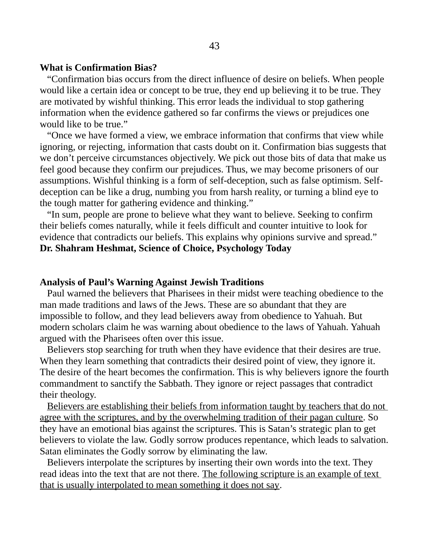#### **What is Confirmation Bias?**

 "Confirmation bias occurs from the direct influence of desire on beliefs. When people would like a certain idea or concept to be true, they end up believing it to be true. They are motivated by wishful thinking. This error leads the individual to stop gathering information when the evidence gathered so far confirms the views or prejudices one would like to be true."

 "Once we have formed a view, we embrace information that confirms that view while ignoring, or rejecting, information that casts doubt on it. Confirmation bias suggests that we don't perceive circumstances objectively. We pick out those bits of data that make us feel good because they confirm our prejudices. Thus, we may become prisoners of our assumptions. Wishful thinking is a form of self-deception, such as false optimism. Selfdeception can be like a drug, numbing you from harsh reality, or turning a blind eye to the tough matter for gathering evidence and thinking."

 "In sum, people are prone to believe what they want to believe. Seeking to confirm their beliefs comes naturally, while it feels difficult and counter intuitive to look for evidence that contradicts our beliefs. This explains why opinions survive and spread." **Dr. Shahram Heshmat, Science of Choice, Psychology Today**

## **Analysis of Paul's Warning Against Jewish Traditions**

Paul warned the believers that Pharisees in their midst were teaching obedience to the man made traditions and laws of the Jews. These are so abundant that they are impossible to follow, and they lead believers away from obedience to Yahuah. But modern scholars claim he was warning about obedience to the laws of Yahuah. Yahuah argued with the Pharisees often over this issue.

 Believers stop searching for truth when they have evidence that their desires are true. When they learn something that contradicts their desired point of view, they ignore it. The desire of the heart becomes the confirmation. This is why believers ignore the fourth commandment to sanctify the Sabbath. They ignore or reject passages that contradict their theology.

 Believers are establishing their beliefs from information taught by teachers that do not agree with the scriptures, and by the overwhelming tradition of their pagan culture. So they have an emotional bias against the scriptures. This is Satan's strategic plan to get believers to violate the law. Godly sorrow produces repentance, which leads to salvation. Satan eliminates the Godly sorrow by eliminating the law.

 Believers interpolate the scriptures by inserting their own words into the text. They read ideas into the text that are not there. The following scripture is an example of text that is usually interpolated to mean something it does not say.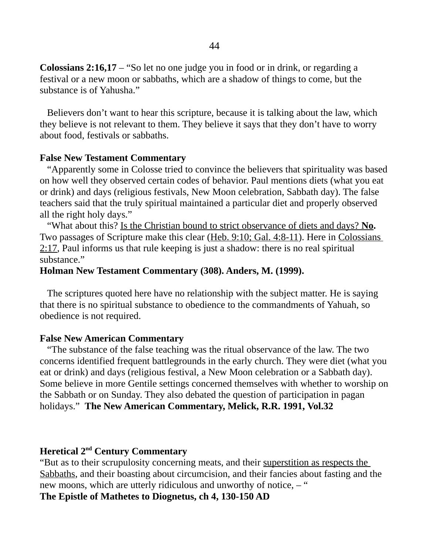**Colossians 2:16,17** – "So let no one judge you in food or in drink, or regarding a festival or a new moon or sabbaths, which are a shadow of things to come, but the substance is of Yahusha."

 Believers don't want to hear this scripture, because it is talking about the law, which they believe is not relevant to them. They believe it says that they don't have to worry about food, festivals or sabbaths.

### **False New Testament Commentary**

 "Apparently some in Colosse tried to convince the believers that spirituality was based on how well they observed certain codes of behavior. Paul mentions diets (what you eat or drink) and days (religious festivals, New Moon celebration, Sabbath day). The false teachers said that the truly spiritual maintained a particular diet and properly observed all the right holy days."

 "What about this? Is the Christian bound to strict observance of diets and days? **No.** Two passages of Scripture make this clear (Heb. 9:10; Gal. 4:8-11). Here in Colossians 2:17, Paul informs us that rule keeping is just a shadow: there is no real spiritual substance."

### **Holman New Testament Commentary (308). Anders, M. (1999).**

 The scriptures quoted here have no relationship with the subject matter. He is saying that there is no spiritual substance to obedience to the commandments of Yahuah, so obedience is not required.

### **False New American Commentary**

 "The substance of the false teaching was the ritual observance of the law. The two concerns identified frequent battlegrounds in the early church. They were diet (what you eat or drink) and days (religious festival, a New Moon celebration or a Sabbath day). Some believe in more Gentile settings concerned themselves with whether to worship on the Sabbath or on Sunday. They also debated the question of participation in pagan holidays." **The New American Commentary, Melick, R.R. 1991, Vol.32**

# **Heretical 2nd Century Commentary**

"But as to their scrupulosity concerning meats, and their superstition as respects the Sabbaths, and their boasting about circumcision, and their fancies about fasting and the new moons, which are utterly ridiculous and unworthy of notice,  $-$  "

### **The Epistle of Mathetes to Diognetus, ch 4, 130-150 AD**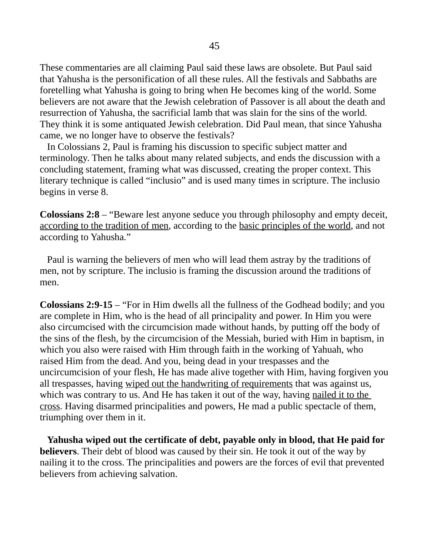These commentaries are all claiming Paul said these laws are obsolete. But Paul said that Yahusha is the personification of all these rules. All the festivals and Sabbaths are foretelling what Yahusha is going to bring when He becomes king of the world. Some believers are not aware that the Jewish celebration of Passover is all about the death and resurrection of Yahusha, the sacrificial lamb that was slain for the sins of the world. They think it is some antiquated Jewish celebration. Did Paul mean, that since Yahusha came, we no longer have to observe the festivals?

 In Colossians 2, Paul is framing his discussion to specific subject matter and terminology. Then he talks about many related subjects, and ends the discussion with a concluding statement, framing what was discussed, creating the proper context. This literary technique is called "inclusio" and is used many times in scripture. The inclusio begins in verse 8.

**Colossians 2:8** – "Beware lest anyone seduce you through philosophy and empty deceit, according to the tradition of men, according to the basic principles of the world, and not according to Yahusha."

 Paul is warning the believers of men who will lead them astray by the traditions of men, not by scripture. The inclusio is framing the discussion around the traditions of men.

**Colossians 2:9-15** – "For in Him dwells all the fullness of the Godhead bodily; and you are complete in Him, who is the head of all principality and power. In Him you were also circumcised with the circumcision made without hands, by putting off the body of the sins of the flesh, by the circumcision of the Messiah, buried with Him in baptism, in which you also were raised with Him through faith in the working of Yahuah, who raised Him from the dead. And you, being dead in your trespasses and the uncircumcision of your flesh, He has made alive together with Him, having forgiven you all trespasses, having wiped out the handwriting of requirements that was against us, which was contrary to us. And He has taken it out of the way, having nailed it to the cross. Having disarmed principalities and powers, He mad a public spectacle of them, triumphing over them in it.

 **Yahusha wiped out the certificate of debt, payable only in blood, that He paid for believers**. Their debt of blood was caused by their sin. He took it out of the way by nailing it to the cross. The principalities and powers are the forces of evil that prevented believers from achieving salvation.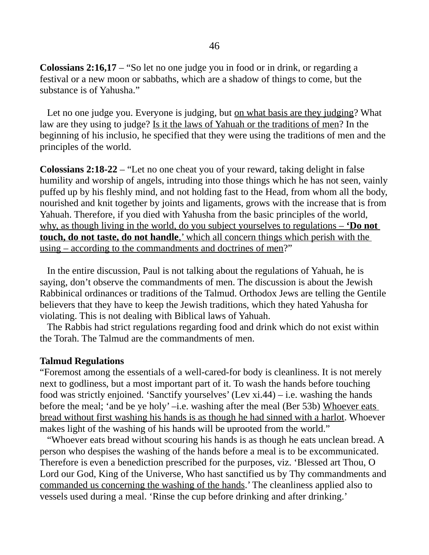**Colossians 2:16,17** – "So let no one judge you in food or in drink, or regarding a festival or a new moon or sabbaths, which are a shadow of things to come, but the substance is of Yahusha."

Let no one judge you. Everyone is judging, but on what basis are they judging? What law are they using to judge? Is it the laws of Yahuah or the traditions of men? In the beginning of his inclusio, he specified that they were using the traditions of men and the principles of the world.

**Colossians 2:18-22** – "Let no one cheat you of your reward, taking delight in false humility and worship of angels, intruding into those things which he has not seen, vainly puffed up by his fleshly mind, and not holding fast to the Head, from whom all the body, nourished and knit together by joints and ligaments, grows with the increase that is from Yahuah. Therefore, if you died with Yahusha from the basic principles of the world, why, as though living in the world, do you subject yourselves to regulations – **'Do not touch, do not taste, do not handle**,' which all concern things which perish with the using – according to the commandments and doctrines of men?"

 In the entire discussion, Paul is not talking about the regulations of Yahuah, he is saying, don't observe the commandments of men. The discussion is about the Jewish Rabbinical ordinances or traditions of the Talmud. Orthodox Jews are telling the Gentile believers that they have to keep the Jewish traditions, which they hated Yahusha for violating. This is not dealing with Biblical laws of Yahuah.

 The Rabbis had strict regulations regarding food and drink which do not exist within the Torah. The Talmud are the commandments of men.

#### **Talmud Regulations**

"Foremost among the essentials of a well-cared-for body is cleanliness. It is not merely next to godliness, but a most important part of it. To wash the hands before touching food was strictly enjoined. 'Sanctify yourselves' (Lev  $xi$ , 44) – i.e. washing the hands before the meal; 'and be ye holy' –i.e. washing after the meal (Ber 53b) Whoever eats bread without first washing his hands is as though he had sinned with a harlot. Whoever makes light of the washing of his hands will be uprooted from the world."

 "Whoever eats bread without scouring his hands is as though he eats unclean bread. A person who despises the washing of the hands before a meal is to be excommunicated. Therefore is even a benediction prescribed for the purposes, viz. 'Blessed art Thou, O Lord our God, King of the Universe, Who hast sanctified us by Thy commandments and commanded us concerning the washing of the hands.' The cleanliness applied also to vessels used during a meal. 'Rinse the cup before drinking and after drinking.'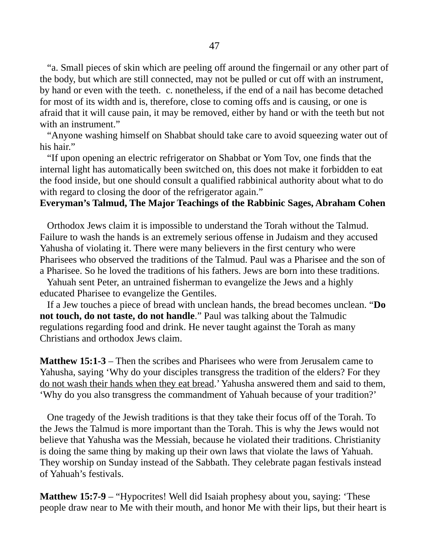"a. Small pieces of skin which are peeling off around the fingernail or any other part of the body, but which are still connected, may not be pulled or cut off with an instrument, by hand or even with the teeth. c. nonetheless, if the end of a nail has become detached for most of its width and is, therefore, close to coming offs and is causing, or one is afraid that it will cause pain, it may be removed, either by hand or with the teeth but not with an instrument."

 "Anyone washing himself on Shabbat should take care to avoid squeezing water out of his hair."

 "If upon opening an electric refrigerator on Shabbat or Yom Tov, one finds that the internal light has automatically been switched on, this does not make it forbidden to eat the food inside, but one should consult a qualified rabbinical authority about what to do with regard to closing the door of the refrigerator again."

### **Everyman's Talmud, The Major Teachings of the Rabbinic Sages, Abraham Cohen**

 Orthodox Jews claim it is impossible to understand the Torah without the Talmud. Failure to wash the hands is an extremely serious offense in Judaism and they accused Yahusha of violating it. There were many believers in the first century who were Pharisees who observed the traditions of the Talmud. Paul was a Pharisee and the son of a Pharisee. So he loved the traditions of his fathers. Jews are born into these traditions.

 Yahuah sent Peter, an untrained fisherman to evangelize the Jews and a highly educated Pharisee to evangelize the Gentiles.

 If a Jew touches a piece of bread with unclean hands, the bread becomes unclean. "**Do not touch, do not taste, do not handle**." Paul was talking about the Talmudic regulations regarding food and drink. He never taught against the Torah as many Christians and orthodox Jews claim.

**Matthew 15:1-3** – Then the scribes and Pharisees who were from Jerusalem came to Yahusha, saying 'Why do your disciples transgress the tradition of the elders? For they do not wash their hands when they eat bread.' Yahusha answered them and said to them, 'Why do you also transgress the commandment of Yahuah because of your tradition?'

 One tragedy of the Jewish traditions is that they take their focus off of the Torah. To the Jews the Talmud is more important than the Torah. This is why the Jews would not believe that Yahusha was the Messiah, because he violated their traditions. Christianity is doing the same thing by making up their own laws that violate the laws of Yahuah. They worship on Sunday instead of the Sabbath. They celebrate pagan festivals instead of Yahuah's festivals.

**Matthew 15:7-9** – "Hypocrites! Well did Isaiah prophesy about you, saying: 'These people draw near to Me with their mouth, and honor Me with their lips, but their heart is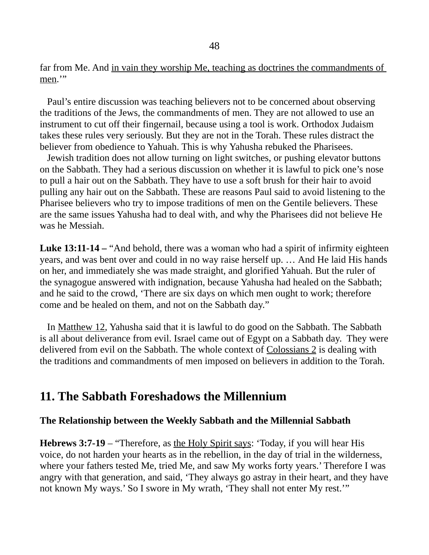far from Me. And in vain they worship Me, teaching as doctrines the commandments of men.'"

 Paul's entire discussion was teaching believers not to be concerned about observing the traditions of the Jews, the commandments of men. They are not allowed to use an instrument to cut off their fingernail, because using a tool is work. Orthodox Judaism takes these rules very seriously. But they are not in the Torah. These rules distract the believer from obedience to Yahuah. This is why Yahusha rebuked the Pharisees.

 Jewish tradition does not allow turning on light switches, or pushing elevator buttons on the Sabbath. They had a serious discussion on whether it is lawful to pick one's nose to pull a hair out on the Sabbath. They have to use a soft brush for their hair to avoid pulling any hair out on the Sabbath. These are reasons Paul said to avoid listening to the Pharisee believers who try to impose traditions of men on the Gentile believers. These are the same issues Yahusha had to deal with, and why the Pharisees did not believe He was he Messiah.

**Luke 13:11-14** – "And behold, there was a woman who had a spirit of infirmity eighteen years, and was bent over and could in no way raise herself up. … And He laid His hands on her, and immediately she was made straight, and glorified Yahuah. But the ruler of the synagogue answered with indignation, because Yahusha had healed on the Sabbath; and he said to the crowd, 'There are six days on which men ought to work; therefore come and be healed on them, and not on the Sabbath day."

 In Matthew 12, Yahusha said that it is lawful to do good on the Sabbath. The Sabbath is all about deliverance from evil. Israel came out of Egypt on a Sabbath day. They were delivered from evil on the Sabbath. The whole context of Colossians 2 is dealing with the traditions and commandments of men imposed on believers in addition to the Torah.

## **11. The Sabbath Foreshadows the Millennium**

### **The Relationship between the Weekly Sabbath and the Millennial Sabbath**

**Hebrews 3:7-19** – "Therefore, as the Holy Spirit says: 'Today, if you will hear His voice, do not harden your hearts as in the rebellion, in the day of trial in the wilderness, where your fathers tested Me, tried Me, and saw My works forty years.' Therefore I was angry with that generation, and said, 'They always go astray in their heart, and they have not known My ways.' So I swore in My wrath, 'They shall not enter My rest.'"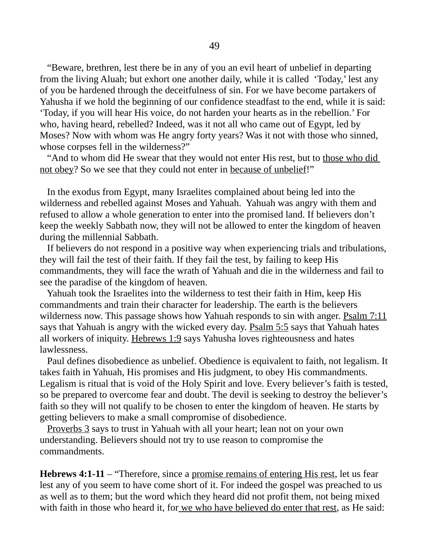"Beware, brethren, lest there be in any of you an evil heart of unbelief in departing from the living Aluah; but exhort one another daily, while it is called 'Today,' lest any of you be hardened through the deceitfulness of sin. For we have become partakers of Yahusha if we hold the beginning of our confidence steadfast to the end, while it is said: 'Today, if you will hear His voice, do not harden your hearts as in the rebellion.' For who, having heard, rebelled? Indeed, was it not all who came out of Egypt, led by Moses? Now with whom was He angry forty years? Was it not with those who sinned, whose corpses fell in the wilderness?"

"And to whom did He swear that they would not enter His rest, but to those who did not obey? So we see that they could not enter in because of unbelief!"

 In the exodus from Egypt, many Israelites complained about being led into the wilderness and rebelled against Moses and Yahuah. Yahuah was angry with them and refused to allow a whole generation to enter into the promised land. If believers don't keep the weekly Sabbath now, they will not be allowed to enter the kingdom of heaven during the millennial Sabbath.

 If believers do not respond in a positive way when experiencing trials and tribulations, they will fail the test of their faith. If they fail the test, by failing to keep His commandments, they will face the wrath of Yahuah and die in the wilderness and fail to see the paradise of the kingdom of heaven.

 Yahuah took the Israelites into the wilderness to test their faith in Him, keep His commandments and train their character for leadership. The earth is the believers wilderness now. This passage shows how Yahuah responds to sin with anger. Psalm 7:11 says that Yahuah is angry with the wicked every day. Psalm 5:5 says that Yahuah hates all workers of iniquity. Hebrews 1:9 says Yahusha loves righteousness and hates lawlessness.

 Paul defines disobedience as unbelief. Obedience is equivalent to faith, not legalism. It takes faith in Yahuah, His promises and His judgment, to obey His commandments. Legalism is ritual that is void of the Holy Spirit and love. Every believer's faith is tested, so be prepared to overcome fear and doubt. The devil is seeking to destroy the believer's faith so they will not qualify to be chosen to enter the kingdom of heaven. He starts by getting believers to make a small compromise of disobedience.

 Proverbs 3 says to trust in Yahuah with all your heart; lean not on your own understanding. Believers should not try to use reason to compromise the commandments.

**Hebrews 4:1-11** – "Therefore, since a promise remains of entering His rest, let us fear lest any of you seem to have come short of it. For indeed the gospel was preached to us as well as to them; but the word which they heard did not profit them, not being mixed with faith in those who heard it, for we who have believed do enter that rest, as He said: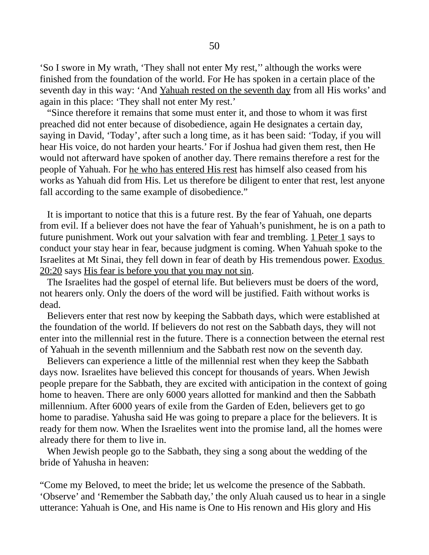'So I swore in My wrath, 'They shall not enter My rest,'' although the works were finished from the foundation of the world. For He has spoken in a certain place of the seventh day in this way: 'And Yahuah rested on the seventh day from all His works' and again in this place: 'They shall not enter My rest.'

 "Since therefore it remains that some must enter it, and those to whom it was first preached did not enter because of disobedience, again He designates a certain day, saying in David, 'Today', after such a long time, as it has been said: 'Today, if you will hear His voice, do not harden your hearts.' For if Joshua had given them rest, then He would not afterward have spoken of another day. There remains therefore a rest for the people of Yahuah. For he who has entered His rest has himself also ceased from his works as Yahuah did from His. Let us therefore be diligent to enter that rest, lest anyone fall according to the same example of disobedience."

 It is important to notice that this is a future rest. By the fear of Yahuah, one departs from evil. If a believer does not have the fear of Yahuah's punishment, he is on a path to future punishment. Work out your salvation with fear and trembling. 1 Peter 1 says to conduct your stay hear in fear, because judgment is coming. When Yahuah spoke to the Israelites at Mt Sinai, they fell down in fear of death by His tremendous power. Exodus 20:20 says His fear is before you that you may not sin.

 The Israelites had the gospel of eternal life. But believers must be doers of the word, not hearers only. Only the doers of the word will be justified. Faith without works is dead.

 Believers enter that rest now by keeping the Sabbath days, which were established at the foundation of the world. If believers do not rest on the Sabbath days, they will not enter into the millennial rest in the future. There is a connection between the eternal rest of Yahuah in the seventh millennium and the Sabbath rest now on the seventh day.

 Believers can experience a little of the millennial rest when they keep the Sabbath days now. Israelites have believed this concept for thousands of years. When Jewish people prepare for the Sabbath, they are excited with anticipation in the context of going home to heaven. There are only 6000 years allotted for mankind and then the Sabbath millennium. After 6000 years of exile from the Garden of Eden, believers get to go home to paradise. Yahusha said He was going to prepare a place for the believers. It is ready for them now. When the Israelites went into the promise land, all the homes were already there for them to live in.

 When Jewish people go to the Sabbath, they sing a song about the wedding of the bride of Yahusha in heaven:

"Come my Beloved, to meet the bride; let us welcome the presence of the Sabbath. 'Observe' and 'Remember the Sabbath day,' the only Aluah caused us to hear in a single utterance: Yahuah is One, and His name is One to His renown and His glory and His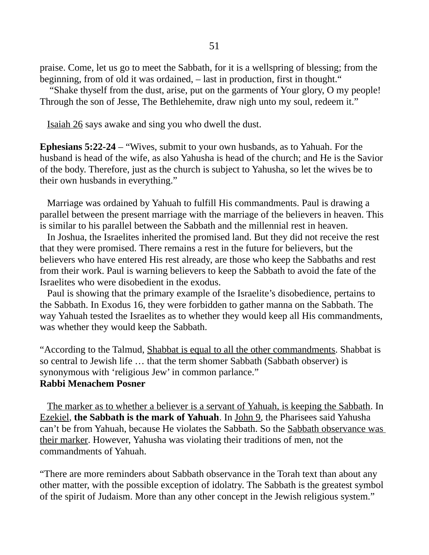praise. Come, let us go to meet the Sabbath, for it is a wellspring of blessing; from the beginning, from of old it was ordained, – last in production, first in thought."

 "Shake thyself from the dust, arise, put on the garments of Your glory, O my people! Through the son of Jesse, The Bethlehemite, draw nigh unto my soul, redeem it."

Isaiah 26 says awake and sing you who dwell the dust.

**Ephesians 5:22-24** – "Wives, submit to your own husbands, as to Yahuah. For the husband is head of the wife, as also Yahusha is head of the church; and He is the Savior of the body. Therefore, just as the church is subject to Yahusha, so let the wives be to their own husbands in everything."

 Marriage was ordained by Yahuah to fulfill His commandments. Paul is drawing a parallel between the present marriage with the marriage of the believers in heaven. This is similar to his parallel between the Sabbath and the millennial rest in heaven.

 In Joshua, the Israelites inherited the promised land. But they did not receive the rest that they were promised. There remains a rest in the future for believers, but the believers who have entered His rest already, are those who keep the Sabbaths and rest from their work. Paul is warning believers to keep the Sabbath to avoid the fate of the Israelites who were disobedient in the exodus.

 Paul is showing that the primary example of the Israelite's disobedience, pertains to the Sabbath. In Exodus 16, they were forbidden to gather manna on the Sabbath. The way Yahuah tested the Israelites as to whether they would keep all His commandments, was whether they would keep the Sabbath.

"According to the Talmud, Shabbat is equal to all the other commandments. Shabbat is so central to Jewish life … that the term shomer Sabbath (Sabbath observer) is synonymous with 'religious Jew' in common parlance." **Rabbi Menachem Posner**

 The marker as to whether a believer is a servant of Yahuah, is keeping the Sabbath. In Ezekiel, **the Sabbath is the mark of Yahuah**. In John 9, the Pharisees said Yahusha can't be from Yahuah, because He violates the Sabbath. So the Sabbath observance was their marker. However, Yahusha was violating their traditions of men, not the commandments of Yahuah.

"There are more reminders about Sabbath observance in the Torah text than about any other matter, with the possible exception of idolatry. The Sabbath is the greatest symbol of the spirit of Judaism. More than any other concept in the Jewish religious system."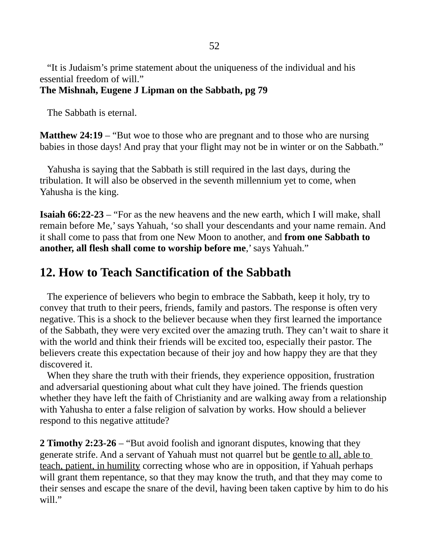"It is Judaism's prime statement about the uniqueness of the individual and his essential freedom of will."

## **The Mishnah, Eugene J Lipman on the Sabbath, pg 79**

The Sabbath is eternal.

**Matthew 24:19** – "But woe to those who are pregnant and to those who are nursing babies in those days! And pray that your flight may not be in winter or on the Sabbath."

 Yahusha is saying that the Sabbath is still required in the last days, during the tribulation. It will also be observed in the seventh millennium yet to come, when Yahusha is the king.

**Isaiah 66:22-23** – "For as the new heavens and the new earth, which I will make, shall remain before Me,' says Yahuah, 'so shall your descendants and your name remain. And it shall come to pass that from one New Moon to another, and **from one Sabbath to another, all flesh shall come to worship before me**,' says Yahuah."

# **12. How to Teach Sanctification of the Sabbath**

 The experience of believers who begin to embrace the Sabbath, keep it holy, try to convey that truth to their peers, friends, family and pastors. The response is often very negative. This is a shock to the believer because when they first learned the importance of the Sabbath, they were very excited over the amazing truth. They can't wait to share it with the world and think their friends will be excited too, especially their pastor. The believers create this expectation because of their joy and how happy they are that they discovered it.

 When they share the truth with their friends, they experience opposition, frustration and adversarial questioning about what cult they have joined. The friends question whether they have left the faith of Christianity and are walking away from a relationship with Yahusha to enter a false religion of salvation by works. How should a believer respond to this negative attitude?

**2 Timothy 2:23-26** – "But avoid foolish and ignorant disputes, knowing that they generate strife. And a servant of Yahuah must not quarrel but be gentle to all, able to teach, patient, in humility correcting whose who are in opposition, if Yahuah perhaps will grant them repentance, so that they may know the truth, and that they may come to their senses and escape the snare of the devil, having been taken captive by him to do his will."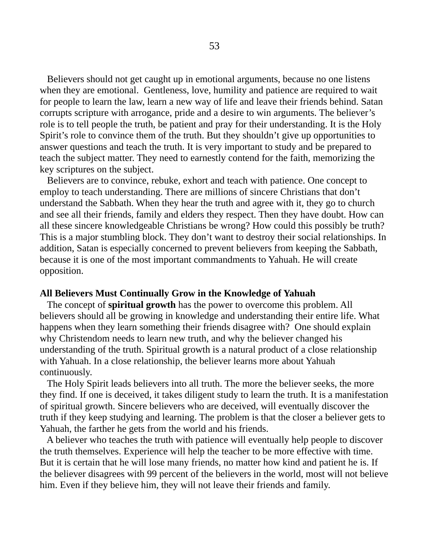Believers should not get caught up in emotional arguments, because no one listens when they are emotional. Gentleness, love, humility and patience are required to wait for people to learn the law, learn a new way of life and leave their friends behind. Satan corrupts scripture with arrogance, pride and a desire to win arguments. The believer's role is to tell people the truth, be patient and pray for their understanding. It is the Holy Spirit's role to convince them of the truth. But they shouldn't give up opportunities to answer questions and teach the truth. It is very important to study and be prepared to teach the subject matter. They need to earnestly contend for the faith, memorizing the key scriptures on the subject.

 Believers are to convince, rebuke, exhort and teach with patience. One concept to employ to teach understanding. There are millions of sincere Christians that don't understand the Sabbath. When they hear the truth and agree with it, they go to church and see all their friends, family and elders they respect. Then they have doubt. How can all these sincere knowledgeable Christians be wrong? How could this possibly be truth? This is a major stumbling block. They don't want to destroy their social relationships. In addition, Satan is especially concerned to prevent believers from keeping the Sabbath, because it is one of the most important commandments to Yahuah. He will create opposition.

### **All Believers Must Continually Grow in the Knowledge of Yahuah**

 The concept of **spiritual growth** has the power to overcome this problem. All believers should all be growing in knowledge and understanding their entire life. What happens when they learn something their friends disagree with? One should explain why Christendom needs to learn new truth, and why the believer changed his understanding of the truth. Spiritual growth is a natural product of a close relationship with Yahuah. In a close relationship, the believer learns more about Yahuah continuously.

 The Holy Spirit leads believers into all truth. The more the believer seeks, the more they find. If one is deceived, it takes diligent study to learn the truth. It is a manifestation of spiritual growth. Sincere believers who are deceived, will eventually discover the truth if they keep studying and learning. The problem is that the closer a believer gets to Yahuah, the farther he gets from the world and his friends.

 A believer who teaches the truth with patience will eventually help people to discover the truth themselves. Experience will help the teacher to be more effective with time. But it is certain that he will lose many friends, no matter how kind and patient he is. If the believer disagrees with 99 percent of the believers in the world, most will not believe him. Even if they believe him, they will not leave their friends and family.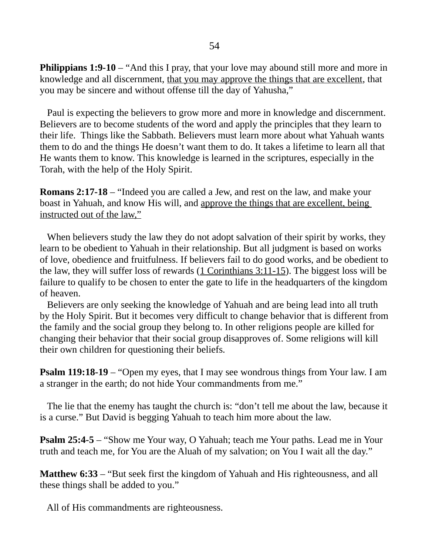**Philippians 1:9-10** – "And this I pray, that your love may abound still more and more in knowledge and all discernment, that you may approve the things that are excellent, that you may be sincere and without offense till the day of Yahusha,"

 Paul is expecting the believers to grow more and more in knowledge and discernment. Believers are to become students of the word and apply the principles that they learn to their life. Things like the Sabbath. Believers must learn more about what Yahuah wants them to do and the things He doesn't want them to do. It takes a lifetime to learn all that He wants them to know. This knowledge is learned in the scriptures, especially in the Torah, with the help of the Holy Spirit.

**Romans 2:17-18** – "Indeed you are called a Jew, and rest on the law, and make your boast in Yahuah, and know His will, and approve the things that are excellent, being instructed out of the law,"

When believers study the law they do not adopt salvation of their spirit by works, they learn to be obedient to Yahuah in their relationship. But all judgment is based on works of love, obedience and fruitfulness. If believers fail to do good works, and be obedient to the law, they will suffer loss of rewards (1 Corinthians 3:11-15). The biggest loss will be failure to qualify to be chosen to enter the gate to life in the headquarters of the kingdom of heaven.

 Believers are only seeking the knowledge of Yahuah and are being lead into all truth by the Holy Spirit. But it becomes very difficult to change behavior that is different from the family and the social group they belong to. In other religions people are killed for changing their behavior that their social group disapproves of. Some religions will kill their own children for questioning their beliefs.

**Psalm 119:18-19** – "Open my eyes, that I may see wondrous things from Your law. I am a stranger in the earth; do not hide Your commandments from me."

 The lie that the enemy has taught the church is: "don't tell me about the law, because it is a curse." But David is begging Yahuah to teach him more about the law.

**Psalm 25:4-5** – "Show me Your way, O Yahuah; teach me Your paths. Lead me in Your truth and teach me, for You are the Aluah of my salvation; on You I wait all the day."

**Matthew 6:33** – "But seek first the kingdom of Yahuah and His righteousness, and all these things shall be added to you."

All of His commandments are righteousness.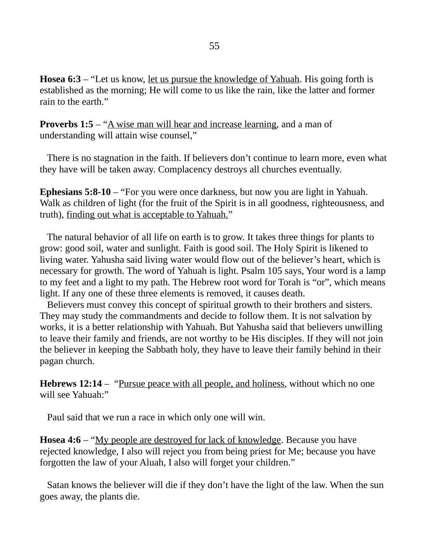**Hosea 6:3** – "Let us know, let us pursue the knowledge of Yahuah. His going forth is established as the morning; He will come to us like the rain, like the latter and former rain to the earth."

**Proverbs 1:5** – "A wise man will hear and increase learning, and a man of understanding will attain wise counsel,"

 There is no stagnation in the faith. If believers don't continue to learn more, even what they have will be taken away. Complacency destroys all churches eventually.

**Ephesians 5:8-10** – "For you were once darkness, but now you are light in Yahuah. Walk as children of light (for the fruit of the Spirit is in all goodness, righteousness, and truth), finding out what is acceptable to Yahuah."

 The natural behavior of all life on earth is to grow. It takes three things for plants to grow: good soil, water and sunlight. Faith is good soil. The Holy Spirit is likened to living water. Yahusha said living water would flow out of the believer's heart, which is necessary for growth. The word of Yahuah is light. Psalm 105 says, Your word is a lamp to my feet and a light to my path. The Hebrew root word for Torah is "or", which means light. If any one of these three elements is removed, it causes death.

 Believers must convey this concept of spiritual growth to their brothers and sisters. They may study the commandments and decide to follow them. It is not salvation by works, it is a better relationship with Yahuah. But Yahusha said that believers unwilling to leave their family and friends, are not worthy to be His disciples. If they will not join the believer in keeping the Sabbath holy, they have to leave their family behind in their pagan church.

**Hebrews 12:14** – "Pursue peace with all people, and holiness, without which no one will see Yahuah:"

Paul said that we run a race in which only one will win.

**Hosea 4:6** – "My people are destroved for lack of knowledge. Because you have rejected knowledge, I also will reject you from being priest for Me; because you have forgotten the law of your Aluah, I also will forget your children."

 Satan knows the believer will die if they don't have the light of the law. When the sun goes away, the plants die.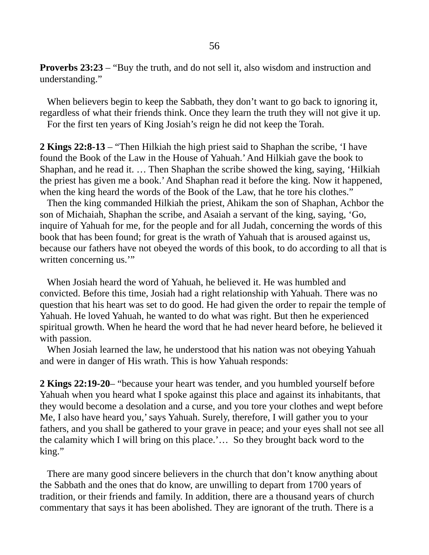**Proverbs 23:23** – "Buy the truth, and do not sell it, also wisdom and instruction and understanding."

 When believers begin to keep the Sabbath, they don't want to go back to ignoring it, regardless of what their friends think. Once they learn the truth they will not give it up. For the first ten years of King Josiah's reign he did not keep the Torah.

**2 Kings 22:8-13** – "Then Hilkiah the high priest said to Shaphan the scribe, 'I have found the Book of the Law in the House of Yahuah.' And Hilkiah gave the book to Shaphan, and he read it. … Then Shaphan the scribe showed the king, saying, 'Hilkiah the priest has given me a book.' And Shaphan read it before the king. Now it happened, when the king heard the words of the Book of the Law, that he tore his clothes."

 Then the king commanded Hilkiah the priest, Ahikam the son of Shaphan, Achbor the son of Michaiah, Shaphan the scribe, and Asaiah a servant of the king, saying, 'Go, inquire of Yahuah for me, for the people and for all Judah, concerning the words of this book that has been found; for great is the wrath of Yahuah that is aroused against us, because our fathers have not obeyed the words of this book, to do according to all that is written concerning us."

 When Josiah heard the word of Yahuah, he believed it. He was humbled and convicted. Before this time, Josiah had a right relationship with Yahuah. There was no question that his heart was set to do good. He had given the order to repair the temple of Yahuah. He loved Yahuah, he wanted to do what was right. But then he experienced spiritual growth. When he heard the word that he had never heard before, he believed it with passion.

 When Josiah learned the law, he understood that his nation was not obeying Yahuah and were in danger of His wrath. This is how Yahuah responds:

**2 Kings 22:19-20**– "because your heart was tender, and you humbled yourself before Yahuah when you heard what I spoke against this place and against its inhabitants, that they would become a desolation and a curse, and you tore your clothes and wept before Me, I also have heard you,' says Yahuah. Surely, therefore, I will gather you to your fathers, and you shall be gathered to your grave in peace; and your eyes shall not see all the calamity which I will bring on this place.'… So they brought back word to the king."

 There are many good sincere believers in the church that don't know anything about the Sabbath and the ones that do know, are unwilling to depart from 1700 years of tradition, or their friends and family. In addition, there are a thousand years of church commentary that says it has been abolished. They are ignorant of the truth. There is a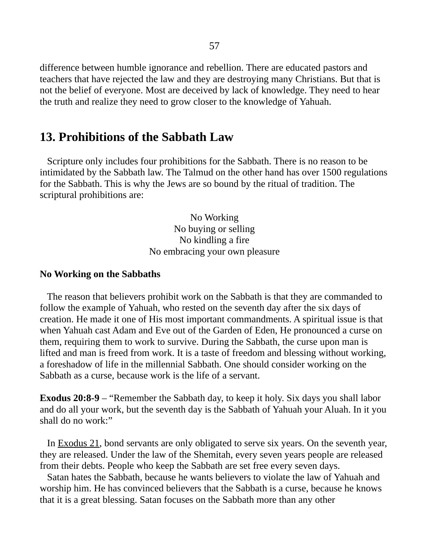difference between humble ignorance and rebellion. There are educated pastors and teachers that have rejected the law and they are destroying many Christians. But that is not the belief of everyone. Most are deceived by lack of knowledge. They need to hear the truth and realize they need to grow closer to the knowledge of Yahuah.

# **13. Prohibitions of the Sabbath Law**

 Scripture only includes four prohibitions for the Sabbath. There is no reason to be intimidated by the Sabbath law. The Talmud on the other hand has over 1500 regulations for the Sabbath. This is why the Jews are so bound by the ritual of tradition. The scriptural prohibitions are:

> No Working No buying or selling No kindling a fire No embracing your own pleasure

#### **No Working on the Sabbaths**

 The reason that believers prohibit work on the Sabbath is that they are commanded to follow the example of Yahuah, who rested on the seventh day after the six days of creation. He made it one of His most important commandments. A spiritual issue is that when Yahuah cast Adam and Eve out of the Garden of Eden, He pronounced a curse on them, requiring them to work to survive. During the Sabbath, the curse upon man is lifted and man is freed from work. It is a taste of freedom and blessing without working, a foreshadow of life in the millennial Sabbath. One should consider working on the Sabbath as a curse, because work is the life of a servant.

**Exodus 20:8-9** – "Remember the Sabbath day, to keep it holy. Six days you shall labor and do all your work, but the seventh day is the Sabbath of Yahuah your Aluah. In it you shall do no work:"

 In Exodus 21, bond servants are only obligated to serve six years. On the seventh year, they are released. Under the law of the Shemitah, every seven years people are released from their debts. People who keep the Sabbath are set free every seven days.

 Satan hates the Sabbath, because he wants believers to violate the law of Yahuah and worship him. He has convinced believers that the Sabbath is a curse, because he knows that it is a great blessing. Satan focuses on the Sabbath more than any other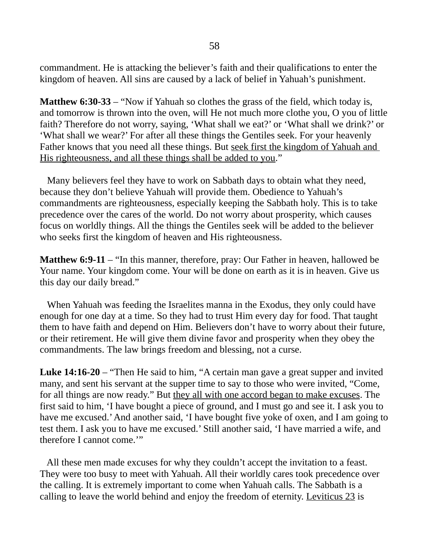commandment. He is attacking the believer's faith and their qualifications to enter the kingdom of heaven. All sins are caused by a lack of belief in Yahuah's punishment.

**Matthew 6:30-33** – "Now if Yahuah so clothes the grass of the field, which today is, and tomorrow is thrown into the oven, will He not much more clothe you, O you of little faith? Therefore do not worry, saying, 'What shall we eat?' or 'What shall we drink?' or 'What shall we wear?' For after all these things the Gentiles seek. For your heavenly Father knows that you need all these things. But seek first the kingdom of Yahuah and His righteousness, and all these things shall be added to you."

 Many believers feel they have to work on Sabbath days to obtain what they need, because they don't believe Yahuah will provide them. Obedience to Yahuah's commandments are righteousness, especially keeping the Sabbath holy. This is to take precedence over the cares of the world. Do not worry about prosperity, which causes focus on worldly things. All the things the Gentiles seek will be added to the believer who seeks first the kingdom of heaven and His righteousness.

**Matthew 6:9-11** – "In this manner, therefore, pray: Our Father in heaven, hallowed be Your name. Your kingdom come. Your will be done on earth as it is in heaven. Give us this day our daily bread."

 When Yahuah was feeding the Israelites manna in the Exodus, they only could have enough for one day at a time. So they had to trust Him every day for food. That taught them to have faith and depend on Him. Believers don't have to worry about their future, or their retirement. He will give them divine favor and prosperity when they obey the commandments. The law brings freedom and blessing, not a curse.

**Luke 14:16-20** – "Then He said to him, "A certain man gave a great supper and invited many, and sent his servant at the supper time to say to those who were invited, "Come, for all things are now ready." But they all with one accord began to make excuses. The first said to him, 'I have bought a piece of ground, and I must go and see it. I ask you to have me excused.' And another said, 'I have bought five yoke of oxen, and I am going to test them. I ask you to have me excused.' Still another said, 'I have married a wife, and therefore I cannot come.'"

 All these men made excuses for why they couldn't accept the invitation to a feast. They were too busy to meet with Yahuah. All their worldly cares took precedence over the calling. It is extremely important to come when Yahuah calls. The Sabbath is a calling to leave the world behind and enjoy the freedom of eternity. Leviticus 23 is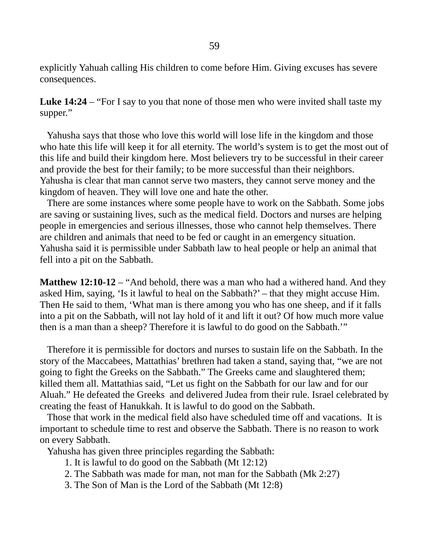explicitly Yahuah calling His children to come before Him. Giving excuses has severe consequences.

**Luke 14:24** – "For I say to you that none of those men who were invited shall taste my supper."

 Yahusha says that those who love this world will lose life in the kingdom and those who hate this life will keep it for all eternity. The world's system is to get the most out of this life and build their kingdom here. Most believers try to be successful in their career and provide the best for their family; to be more successful than their neighbors. Yahusha is clear that man cannot serve two masters, they cannot serve money and the kingdom of heaven. They will love one and hate the other.

 There are some instances where some people have to work on the Sabbath. Some jobs are saving or sustaining lives, such as the medical field. Doctors and nurses are helping people in emergencies and serious illnesses, those who cannot help themselves. There are children and animals that need to be fed or caught in an emergency situation. Yahusha said it is permissible under Sabbath law to heal people or help an animal that fell into a pit on the Sabbath.

**Matthew 12:10-12** – "And behold, there was a man who had a withered hand. And they asked Him, saying, 'Is it lawful to heal on the Sabbath?' – that they might accuse Him. Then He said to them, 'What man is there among you who has one sheep, and if it falls into a pit on the Sabbath, will not lay hold of it and lift it out? Of how much more value then is a man than a sheep? Therefore it is lawful to do good on the Sabbath.'"

 Therefore it is permissible for doctors and nurses to sustain life on the Sabbath. In the story of the Maccabees, Mattathias' brethren had taken a stand, saying that, "we are not going to fight the Greeks on the Sabbath." The Greeks came and slaughtered them; killed them all. Mattathias said, "Let us fight on the Sabbath for our law and for our Aluah." He defeated the Greeks and delivered Judea from their rule. Israel celebrated by creating the feast of Hanukkah. It is lawful to do good on the Sabbath.

 Those that work in the medical field also have scheduled time off and vacations. It is important to schedule time to rest and observe the Sabbath. There is no reason to work on every Sabbath.

Yahusha has given three principles regarding the Sabbath:

- 1. It is lawful to do good on the Sabbath (Mt 12:12)
- 2. The Sabbath was made for man, not man for the Sabbath (Mk 2:27)
- 3. The Son of Man is the Lord of the Sabbath (Mt 12:8)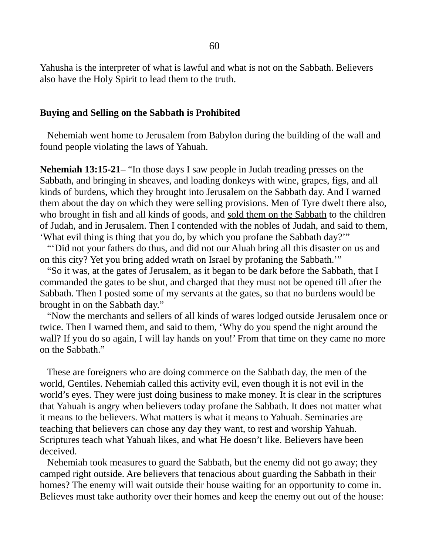Yahusha is the interpreter of what is lawful and what is not on the Sabbath. Believers also have the Holy Spirit to lead them to the truth.

#### **Buying and Selling on the Sabbath is Prohibited**

Nehemiah went home to Jerusalem from Babylon during the building of the wall and found people violating the laws of Yahuah.

**Nehemiah 13:15-21**– "In those days I saw people in Judah treading presses on the Sabbath, and bringing in sheaves, and loading donkeys with wine, grapes, figs, and all kinds of burdens, which they brought into Jerusalem on the Sabbath day. And I warned them about the day on which they were selling provisions. Men of Tyre dwelt there also, who brought in fish and all kinds of goods, and sold them on the Sabbath to the children of Judah, and in Jerusalem. Then I contended with the nobles of Judah, and said to them, 'What evil thing is thing that you do, by which you profane the Sabbath day?'"

 "'Did not your fathers do thus, and did not our Aluah bring all this disaster on us and on this city? Yet you bring added wrath on Israel by profaning the Sabbath.'"

 "So it was, at the gates of Jerusalem, as it began to be dark before the Sabbath, that I commanded the gates to be shut, and charged that they must not be opened till after the Sabbath. Then I posted some of my servants at the gates, so that no burdens would be brought in on the Sabbath day."

 "Now the merchants and sellers of all kinds of wares lodged outside Jerusalem once or twice. Then I warned them, and said to them, 'Why do you spend the night around the wall? If you do so again, I will lay hands on you!' From that time on they came no more on the Sabbath."

 These are foreigners who are doing commerce on the Sabbath day, the men of the world, Gentiles. Nehemiah called this activity evil, even though it is not evil in the world's eyes. They were just doing business to make money. It is clear in the scriptures that Yahuah is angry when believers today profane the Sabbath. It does not matter what it means to the believers. What matters is what it means to Yahuah. Seminaries are teaching that believers can chose any day they want, to rest and worship Yahuah. Scriptures teach what Yahuah likes, and what He doesn't like. Believers have been deceived.

 Nehemiah took measures to guard the Sabbath, but the enemy did not go away; they camped right outside. Are believers that tenacious about guarding the Sabbath in their homes? The enemy will wait outside their house waiting for an opportunity to come in. Believes must take authority over their homes and keep the enemy out out of the house: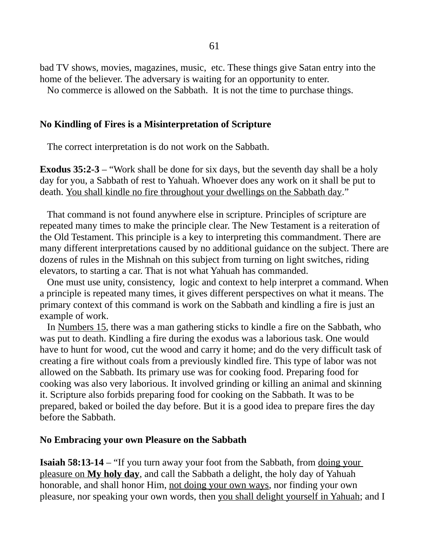bad TV shows, movies, magazines, music, etc. These things give Satan entry into the home of the believer. The adversary is waiting for an opportunity to enter.

No commerce is allowed on the Sabbath. It is not the time to purchase things.

#### **No Kindling of Fires is a Misinterpretation of Scripture**

The correct interpretation is do not work on the Sabbath.

**Exodus 35:2-3** – "Work shall be done for six days, but the seventh day shall be a holy day for you, a Sabbath of rest to Yahuah. Whoever does any work on it shall be put to death. You shall kindle no fire throughout your dwellings on the Sabbath day."

 That command is not found anywhere else in scripture. Principles of scripture are repeated many times to make the principle clear. The New Testament is a reiteration of the Old Testament. This principle is a key to interpreting this commandment. There are many different interpretations caused by no additional guidance on the subject. There are dozens of rules in the Mishnah on this subject from turning on light switches, riding elevators, to starting a car. That is not what Yahuah has commanded.

 One must use unity, consistency, logic and context to help interpret a command. When a principle is repeated many times, it gives different perspectives on what it means. The primary context of this command is work on the Sabbath and kindling a fire is just an example of work.

 In Numbers 15, there was a man gathering sticks to kindle a fire on the Sabbath, who was put to death. Kindling a fire during the exodus was a laborious task. One would have to hunt for wood, cut the wood and carry it home; and do the very difficult task of creating a fire without coals from a previously kindled fire. This type of labor was not allowed on the Sabbath. Its primary use was for cooking food. Preparing food for cooking was also very laborious. It involved grinding or killing an animal and skinning it. Scripture also forbids preparing food for cooking on the Sabbath. It was to be prepared, baked or boiled the day before. But it is a good idea to prepare fires the day before the Sabbath.

#### **No Embracing your own Pleasure on the Sabbath**

**Isaiah 58:13-14** – "If you turn away your foot from the Sabbath, from doing your pleasure on **My holy day**, and call the Sabbath a delight, the holy day of Yahuah honorable, and shall honor Him, not doing your own ways, nor finding your own pleasure, nor speaking your own words, then you shall delight yourself in Yahuah; and I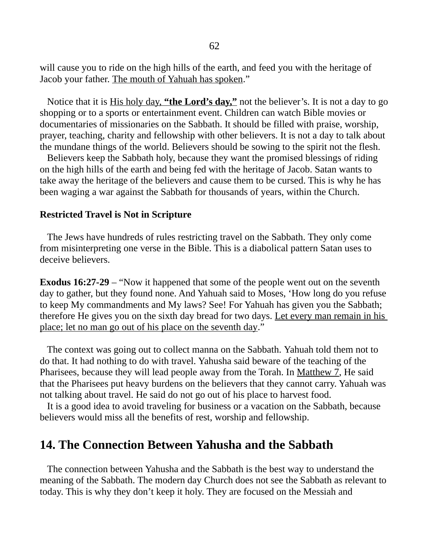will cause you to ride on the high hills of the earth, and feed you with the heritage of Jacob your father. The mouth of Yahuah has spoken."

 Notice that it is His holy day, **"the Lord's day,"** not the believer's. It is not a day to go shopping or to a sports or entertainment event. Children can watch Bible movies or documentaries of missionaries on the Sabbath. It should be filled with praise, worship, prayer, teaching, charity and fellowship with other believers. It is not a day to talk about the mundane things of the world. Believers should be sowing to the spirit not the flesh.

 Believers keep the Sabbath holy, because they want the promised blessings of riding on the high hills of the earth and being fed with the heritage of Jacob. Satan wants to take away the heritage of the believers and cause them to be cursed. This is why he has been waging a war against the Sabbath for thousands of years, within the Church.

#### **Restricted Travel is Not in Scripture**

The Jews have hundreds of rules restricting travel on the Sabbath. They only come from misinterpreting one verse in the Bible. This is a diabolical pattern Satan uses to deceive believers.

**Exodus 16:27-29** – "Now it happened that some of the people went out on the seventh day to gather, but they found none. And Yahuah said to Moses, 'How long do you refuse to keep My commandments and My laws? See! For Yahuah has given you the Sabbath; therefore He gives you on the sixth day bread for two days. Let every man remain in his place; let no man go out of his place on the seventh day."

 The context was going out to collect manna on the Sabbath. Yahuah told them not to do that. It had nothing to do with travel. Yahusha said beware of the teaching of the Pharisees, because they will lead people away from the Torah. In Matthew 7, He said that the Pharisees put heavy burdens on the believers that they cannot carry. Yahuah was not talking about travel. He said do not go out of his place to harvest food.

 It is a good idea to avoid traveling for business or a vacation on the Sabbath, because believers would miss all the benefits of rest, worship and fellowship.

## **14. The Connection Between Yahusha and the Sabbath**

 The connection between Yahusha and the Sabbath is the best way to understand the meaning of the Sabbath. The modern day Church does not see the Sabbath as relevant to today. This is why they don't keep it holy. They are focused on the Messiah and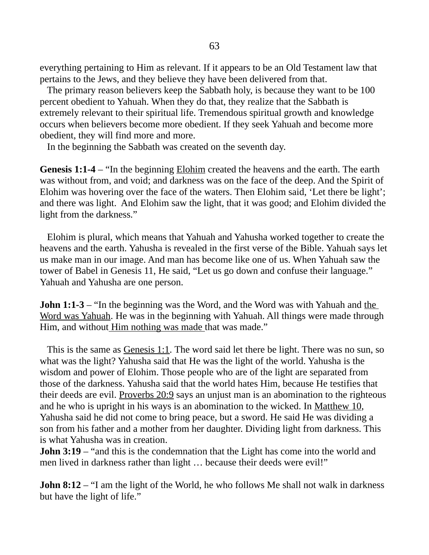everything pertaining to Him as relevant. If it appears to be an Old Testament law that pertains to the Jews, and they believe they have been delivered from that.

 The primary reason believers keep the Sabbath holy, is because they want to be 100 percent obedient to Yahuah. When they do that, they realize that the Sabbath is extremely relevant to their spiritual life. Tremendous spiritual growth and knowledge occurs when believers become more obedient. If they seek Yahuah and become more obedient, they will find more and more.

In the beginning the Sabbath was created on the seventh day.

**Genesis 1:1-4** – "In the beginning **Elohim** created the heavens and the earth. The earth was without from, and void; and darkness was on the face of the deep. And the Spirit of Elohim was hovering over the face of the waters. Then Elohim said, 'Let there be light'; and there was light. And Elohim saw the light, that it was good; and Elohim divided the light from the darkness."

 Elohim is plural, which means that Yahuah and Yahusha worked together to create the heavens and the earth. Yahusha is revealed in the first verse of the Bible. Yahuah says let us make man in our image. And man has become like one of us. When Yahuah saw the tower of Babel in Genesis 11, He said, "Let us go down and confuse their language." Yahuah and Yahusha are one person.

**John 1:1-3** – "In the beginning was the Word, and the Word was with Yahuah and the Word was Yahuah. He was in the beginning with Yahuah. All things were made through Him, and without Him nothing was made that was made."

This is the same as *Genesis 1:1*. The word said let there be light. There was no sun, so what was the light? Yahusha said that He was the light of the world. Yahusha is the wisdom and power of Elohim. Those people who are of the light are separated from those of the darkness. Yahusha said that the world hates Him, because He testifies that their deeds are evil. Proverbs 20:9 says an unjust man is an abomination to the righteous and he who is upright in his ways is an abomination to the wicked. In Matthew 10, Yahusha said he did not come to bring peace, but a sword. He said He was dividing a son from his father and a mother from her daughter. Dividing light from darkness. This is what Yahusha was in creation.

**John 3:19** – "and this is the condemnation that the Light has come into the world and men lived in darkness rather than light ... because their deeds were evil!"

**John 8:12** – "I am the light of the World, he who follows Me shall not walk in darkness but have the light of life."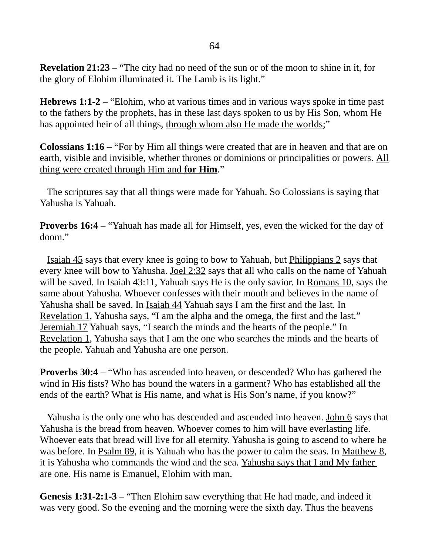**Revelation 21:23** – "The city had no need of the sun or of the moon to shine in it, for the glory of Elohim illuminated it. The Lamb is its light."

**Hebrews 1:1-2** – "Elohim, who at various times and in various ways spoke in time past to the fathers by the prophets, has in these last days spoken to us by His Son, whom He has appointed heir of all things, through whom also He made the worlds;"

**Colossians 1:16** – "For by Him all things were created that are in heaven and that are on earth, visible and invisible, whether thrones or dominions or principalities or powers. All thing were created through Him and **for Him**."

 The scriptures say that all things were made for Yahuah. So Colossians is saying that Yahusha is Yahuah.

**Proverbs 16:4** – "Yahuah has made all for Himself, yes, even the wicked for the day of doom."

 Isaiah 45 says that every knee is going to bow to Yahuah, but Philippians 2 says that every knee will bow to Yahusha. Joel 2:32 says that all who calls on the name of Yahuah will be saved. In Isaiah 43:11, Yahuah says He is the only savior. In Romans 10, says the same about Yahusha. Whoever confesses with their mouth and believes in the name of Yahusha shall be saved. In Isaiah 44 Yahuah says I am the first and the last. In Revelation 1, Yahusha says, "I am the alpha and the omega, the first and the last." Jeremiah 17 Yahuah says, "I search the minds and the hearts of the people." In Revelation 1, Yahusha says that I am the one who searches the minds and the hearts of the people. Yahuah and Yahusha are one person.

**Proverbs 30:4** – "Who has ascended into heaven, or descended? Who has gathered the wind in His fists? Who has bound the waters in a garment? Who has established all the ends of the earth? What is His name, and what is His Son's name, if you know?"

Yahusha is the only one who has descended and ascended into heaven. John 6 says that Yahusha is the bread from heaven. Whoever comes to him will have everlasting life. Whoever eats that bread will live for all eternity. Yahusha is going to ascend to where he was before. In Psalm 89, it is Yahuah who has the power to calm the seas. In Matthew 8, it is Yahusha who commands the wind and the sea. Yahusha says that I and My father are one. His name is Emanuel, Elohim with man.

**Genesis 1:31-2:1-3** – "Then Elohim saw everything that He had made, and indeed it was very good. So the evening and the morning were the sixth day. Thus the heavens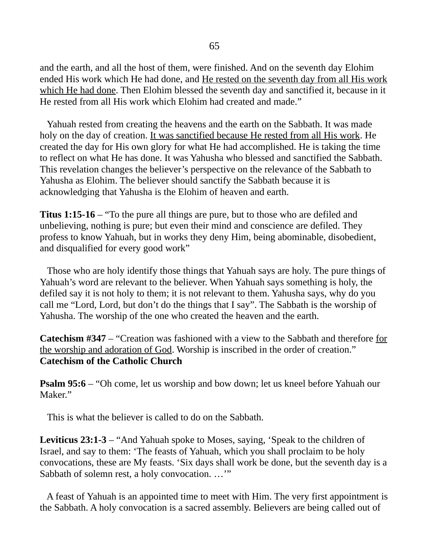and the earth, and all the host of them, were finished. And on the seventh day Elohim ended His work which He had done, and He rested on the seventh day from all His work which He had done. Then Elohim blessed the seventh day and sanctified it, because in it He rested from all His work which Elohim had created and made."

 Yahuah rested from creating the heavens and the earth on the Sabbath. It was made holy on the day of creation. It was sanctified because He rested from all His work. He created the day for His own glory for what He had accomplished. He is taking the time to reflect on what He has done. It was Yahusha who blessed and sanctified the Sabbath. This revelation changes the believer's perspective on the relevance of the Sabbath to Yahusha as Elohim. The believer should sanctify the Sabbath because it is acknowledging that Yahusha is the Elohim of heaven and earth.

**Titus 1:15-16** – "To the pure all things are pure, but to those who are defiled and unbelieving, nothing is pure; but even their mind and conscience are defiled. They profess to know Yahuah, but in works they deny Him, being abominable, disobedient, and disqualified for every good work"

 Those who are holy identify those things that Yahuah says are holy. The pure things of Yahuah's word are relevant to the believer. When Yahuah says something is holy, the defiled say it is not holy to them; it is not relevant to them. Yahusha says, why do you call me "Lord, Lord, but don't do the things that I say". The Sabbath is the worship of Yahusha. The worship of the one who created the heaven and the earth.

**Catechism #347** – "Creation was fashioned with a view to the Sabbath and therefore for the worship and adoration of God. Worship is inscribed in the order of creation." **Catechism of the Catholic Church**

**Psalm 95:6** – "Oh come, let us worship and bow down; let us kneel before Yahuah our Maker."

This is what the believer is called to do on the Sabbath.

**Leviticus 23:1-3** – "And Yahuah spoke to Moses, saying, 'Speak to the children of Israel, and say to them: 'The feasts of Yahuah, which you shall proclaim to be holy convocations, these are My feasts. 'Six days shall work be done, but the seventh day is a Sabbath of solemn rest, a holy convocation. …'"

 A feast of Yahuah is an appointed time to meet with Him. The very first appointment is the Sabbath. A holy convocation is a sacred assembly. Believers are being called out of